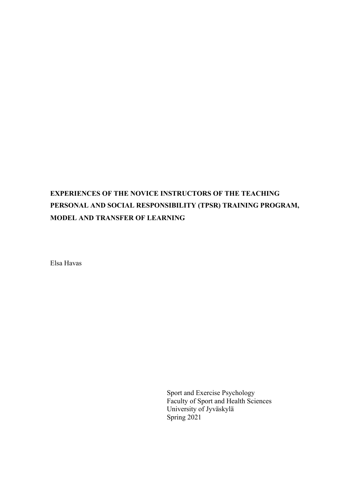# **EXPERIENCES OF THE NOVICE INSTRUCTORS OF THE TEACHING PERSONAL AND SOCIAL RESPONSIBILITY (TPSR) TRAINING PROGRAM, MODEL AND TRANSFER OF LEARNING**

Elsa Havas

Sport and Exercise Psychology Faculty of Sport and Health Sciences University of Jyväskylä Spring 2021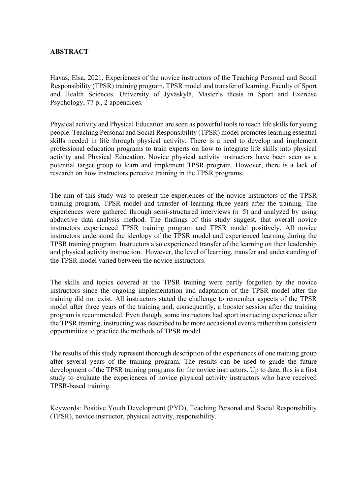# **ABSTRACT**

Havas, Elsa, 2021. Experiences of the novice instructors of the Teaching Personal and Scoail Responsibility (TPSR) training program, TPSR model and transfer of learning. Faculty of Sport and Health Sciences. University of Jyväskylä, Master's thesis in Sport and Exercise Psychology, 77 p., 2 appendices.

Physical activity and Physical Education are seen as powerful tools to teach life skills for young people. Teaching Personal and Social Responsibility (TPSR) model promotes learning essential skills needed in life through physical activity. There is a need to develop and implement professional education programs to train experts on how to integrate life skills into physical activity and Physical Education. Novice physical activity instructors have been seen as a potential target group to learn and implement TPSR program. However, there is a lack of research on how instructors perceive training in the TPSR programs.

The aim of this study was to present the experiences of the novice instructors of the TPSR training program, TPSR model and transfer of learning three years after the training. The experiences were gathered through semi-structured interviews (n=5) and analyzed by using abductive data analysis method. The findings of this study suggest, that overall novice instructors experienced TPSR training program and TPSR model positively. All novice instructors understood the ideology of the TPSR model and experienced learning during the TPSR training program. Instructors also experienced transfer of the learning on their leadership and physical activity instruction. However, the level of learning, transfer and understanding of the TPSR model varied between the novice instructors.

The skills and topics covered at the TPSR training were partly forgotten by the novice instructors since the ongoing implementation and adaptation of the TPSR model after the training did not exist. All instructors stated the challenge to remember aspects of the TPSR model after three years of the training and, consequently, a booster session after the training program is recommended. Even though, some instructors had sport instructing experience after the TPSR training, instructing was described to be more occasional events rather than consistent opportunities to practice the methods of TPSR model.

The results of this study represent thorough description of the experiences of one training group after several years of the training program. The results can be used to guide the future development of the TPSR training programs for the novice instructors. Up to date, this is a first study to evaluate the experiences of novice physical activity instructors who have received TPSR-based training.

Keywords: Positive Youth Development (PYD), Teaching Personal and Social Responsibility (TPSR), novice instructor, physical activity, responsibility.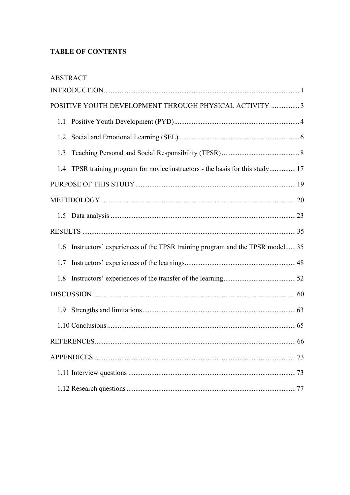# **TABLE OF CONTENTS**

| <b>ABSTRACT</b> |                                                                             |
|-----------------|-----------------------------------------------------------------------------|
|                 |                                                                             |
|                 | POSITIVE YOUTH DEVELOPMENT THROUGH PHYSICAL ACTIVITY  3                     |
|                 |                                                                             |
| 1.2             |                                                                             |
| 1.3             |                                                                             |
| 1.4             | TPSR training program for novice instructors - the basis for this study 17  |
|                 |                                                                             |
|                 |                                                                             |
|                 |                                                                             |
|                 |                                                                             |
| 1.6             | Instructors' experiences of the TPSR training program and the TPSR model 35 |
| 1.7             |                                                                             |
| 1.8             |                                                                             |
|                 |                                                                             |
| 1.9             |                                                                             |
|                 |                                                                             |
|                 |                                                                             |
|                 |                                                                             |
|                 |                                                                             |
|                 |                                                                             |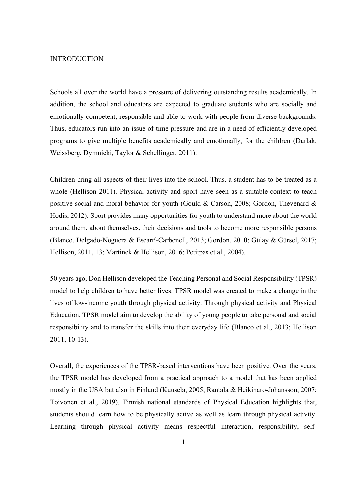#### **INTRODUCTION**

Schools all over the world have a pressure of delivering outstanding results academically. In addition, the school and educators are expected to graduate students who are socially and emotionally competent, responsible and able to work with people from diverse backgrounds. Thus, educators run into an issue of time pressure and are in a need of efficiently developed programs to give multiple benefits academically and emotionally, for the children (Durlak, Weissberg, Dymnicki, Taylor & Schellinger, 2011).

Children bring all aspects of their lives into the school. Thus, a student has to be treated as a whole (Hellison 2011). Physical activity and sport have seen as a suitable context to teach positive social and moral behavior for youth (Gould & Carson, 2008; Gordon, Thevenard & Hodis, 2012). Sport provides many opportunities for youth to understand more about the world around them, about themselves, their decisions and tools to become more responsible persons (Blanco, Delgado-Noguera & Escartí-Carbonell, 2013; Gordon, 2010; Gülay & Gürsel, 2017; Hellison, 2011, 13; Martinek & Hellison, 2016; Petitpas et al., 2004).

50 years ago, Don Hellison developed the Teaching Personal and Social Responsibility (TPSR) model to help children to have better lives. TPSR model was created to make a change in the lives of low-income youth through physical activity. Through physical activity and Physical Education, TPSR model aim to develop the ability of young people to take personal and social responsibility and to transfer the skills into their everyday life (Blanco et al., 2013; Hellison 2011, 10-13).

Overall, the experiences of the TPSR-based interventions have been positive. Over the years, the TPSR model has developed from a practical approach to a model that has been applied mostly in the USA but also in Finland (Kuusela, 2005; Rantala & Heikinaro-Johansson, 2007; Toivonen et al., 2019). Finnish national standards of Physical Education highlights that, students should learn how to be physically active as well as learn through physical activity. Learning through physical activity means respectful interaction, responsibility, self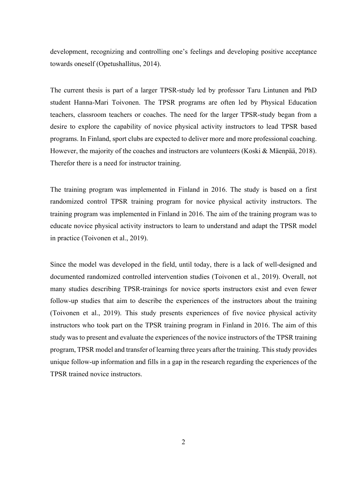development, recognizing and controlling one's feelings and developing positive acceptance towards oneself (Opetushallitus, 2014).

The current thesis is part of a larger TPSR-study led by professor Taru Lintunen and PhD student Hanna-Mari Toivonen. The TPSR programs are often led by Physical Education teachers, classroom teachers or coaches. The need for the larger TPSR-study began from a desire to explore the capability of novice physical activity instructors to lead TPSR based programs. In Finland, sport clubs are expected to deliver more and more professional coaching. However, the majority of the coaches and instructors are volunteers (Koski & Mäenpää, 2018). Therefor there is a need for instructor training.

The training program was implemented in Finland in 2016. The study is based on a first randomized control TPSR training program for novice physical activity instructors. The training program was implemented in Finland in 2016. The aim of the training program was to educate novice physical activity instructors to learn to understand and adapt the TPSR model in practice (Toivonen et al., 2019).

Since the model was developed in the field, until today, there is a lack of well-designed and documented randomized controlled intervention studies (Toivonen et al., 2019). Overall, not many studies describing TPSR-trainings for novice sports instructors exist and even fewer follow-up studies that aim to describe the experiences of the instructors about the training (Toivonen et al., 2019). This study presents experiences of five novice physical activity instructors who took part on the TPSR training program in Finland in 2016. The aim of this study was to present and evaluate the experiences of the novice instructors of the TPSR training program, TPSR model and transfer of learning three years after the training. This study provides unique follow-up information and fills in a gap in the research regarding the experiences of the TPSR trained novice instructors.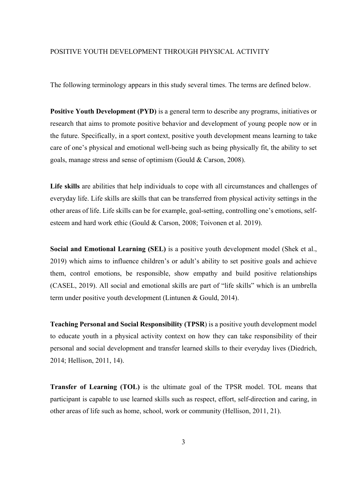#### POSITIVE YOUTH DEVELOPMENT THROUGH PHYSICAL ACTIVITY

The following terminology appears in this study several times. The terms are defined below.

**Positive Youth Development (PYD)** is a general term to describe any programs, initiatives or research that aims to promote positive behavior and development of young people now or in the future. Specifically, in a sport context, positive youth development means learning to take care of one's physical and emotional well-being such as being physically fit, the ability to set goals, manage stress and sense of optimism (Gould & Carson, 2008).

**Life skills** are abilities that help individuals to cope with all circumstances and challenges of everyday life. Life skills are skills that can be transferred from physical activity settings in the other areas of life. Life skills can be for example, goal-setting, controlling one's emotions, selfesteem and hard work ethic (Gould & Carson, 2008; Toivonen et al. 2019).

**Social and Emotional Learning (SEL)** is a positive youth development model (Shek et al., 2019) which aims to influence children's or adult's ability to set positive goals and achieve them, control emotions, be responsible, show empathy and build positive relationships (CASEL, 2019). All social and emotional skills are part of "life skills" which is an umbrella term under positive youth development (Lintunen & Gould, 2014).

**Teaching Personal and Social Responsibility (TPSR**) is a positive youth development model to educate youth in a physical activity context on how they can take responsibility of their personal and social development and transfer learned skills to their everyday lives (Diedrich, 2014; Hellison, 2011, 14).

**Transfer of Learning (TOL)** is the ultimate goal of the TPSR model. TOL means that participant is capable to use learned skills such as respect, effort, self-direction and caring, in other areas of life such as home, school, work or community (Hellison, 2011, 21).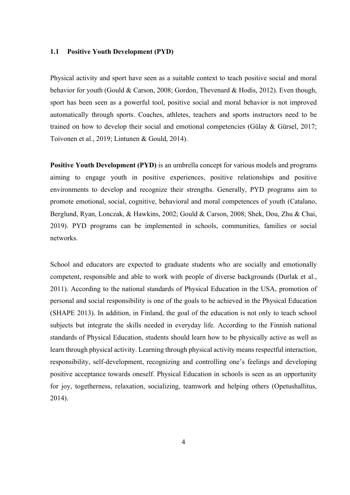#### **1.1 Positive Youth Development (PYD)**

Physical activity and sport have seen as a suitable context to teach positive social and moral behavior for youth (Gould & Carson, 2008; Gordon, Thevenard & Hodis, 2012). Even though, sport has been seen as a powerful tool, positive social and moral behavior is not improved automatically through sports. Coaches, athletes, teachers and sports instructors need to be trained on how to develop their social and emotional competencies (Gülay & Gürsel, 2017; Toivonen et al., 2019; Lintunen & Gould, 2014).

**Positive Youth Development (PYD)** is an umbrella concept for various models and programs aiming to engage youth in positive experiences, positive relationships and positive environments to develop and recognize their strengths. Generally, PYD programs aim to promote emotional, social, cognitive, behavioral and moral competences of youth (Catalano, Berglund, Ryan, Lonczak, & Hawkins, 2002; Gould & Carson, 2008; Shek, Dou, Zhu & Chai, 2019). PYD programs can be implemented in schools, communities, families or social networks.

School and educators are expected to graduate students who are socially and emotionally competent, responsible and able to work with people of diverse backgrounds (Durlak et al., 2011). According to the national standards of Physical Education in the USA, promotion of personal and social responsibility is one of the goals to be achieved in the Physical Education (SHAPE 2013). In addition, in Finland, the goal of the education is not only to teach school subjects but integrate the skills needed in everyday life. According to the Finnish national standards of Physical Education, students should learn how to be physically active as well as learn through physical activity. Learning through physical activity means respectful interaction, responsibility, self-development, recognizing and controlling one's feelings and developing positive acceptance towards oneself. Physical Education in schools is seen as an opportunity for joy, togetherness, relaxation, socializing, teamwork and helping others (Opetushallitus, 2014).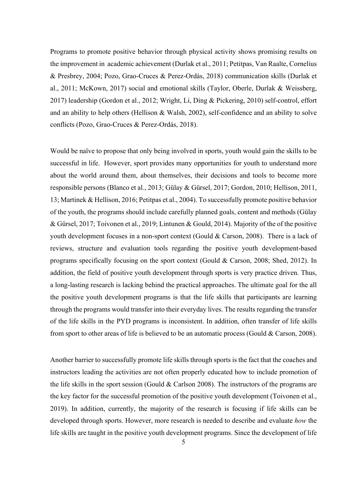Programs to promote positive behavior through physical activity shows promising results on the improvement in academic achievement (Durlak et al., 2011; Petitpas, Van Raalte, Cornelius & Presbrey, 2004; Pozo, Grao-Cruces & Perez-Ordás, 2018) communication skills (Durlak et al., 2011; McKown, 2017) social and emotional skills (Taylor, Oberle, Durlak & Weissberg, 2017) leadership (Gordon et al., 2012; Wright, Li, Ding & Pickering, 2010) self-control, effort and an ability to help others (Hellison & Walsh, 2002), self-confidence and an ability to solve conflicts (Pozo, Grao-Cruces & Perez-Ordás, 2018).

Would be naïve to propose that only being involved in sports, youth would gain the skills to be successful in life. However, sport provides many opportunities for youth to understand more about the world around them, about themselves, their decisions and tools to become more responsible persons (Blanco et al., 2013; Gülay & Gürsel, 2017; Gordon, 2010; Hellison, 2011, 13; Martinek & Hellison, 2016; Petitpas et al., 2004). To successfully promote positive behavior of the youth, the programs should include carefully planned goals, content and methods (Gülay & Gürsel, 2017; Toivonen et al., 2019; Lintunen & Gould, 2014). Majority of the of the positive youth development focuses in a non-sport context (Gould & Carson, 2008). There is a lack of reviews, structure and evaluation tools regarding the positive youth development-based programs specifically focusing on the sport context (Gould & Carson, 2008; Shed, 2012). In addition, the field of positive youth development through sports is very practice driven. Thus, a long-lasting research is lacking behind the practical approaches. The ultimate goal for the all the positive youth development programs is that the life skills that participants are learning through the programs would transfer into their everyday lives. The results regarding the transfer of the life skills in the PYD programs is inconsistent. In addition, often transfer of life skills from sport to other areas of life is believed to be an automatic process (Gould & Carson, 2008).

Another barrier to successfully promote life skills through sports is the fact that the coaches and instructors leading the activities are not often properly educated how to include promotion of the life skills in the sport session (Gould & Carlson 2008). The instructors of the programs are the key factor for the successful promotion of the positive youth development (Toivonen et al., 2019). In addition, currently, the majority of the research is focusing if life skills can be developed through sports. However, more research is needed to describe and evaluate *how* the life skills are taught in the positive youth development programs. Since the development of life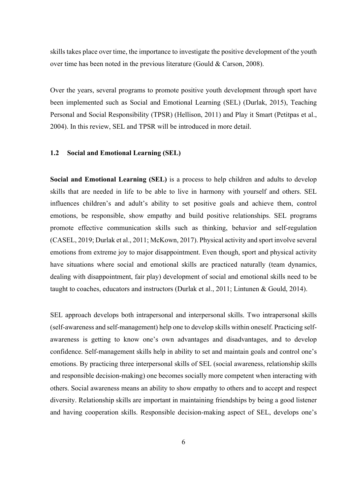skills takes place over time, the importance to investigate the positive development of the youth over time has been noted in the previous literature (Gould & Carson, 2008).

Over the years, several programs to promote positive youth development through sport have been implemented such as Social and Emotional Learning (SEL) (Durlak, 2015), Teaching Personal and Social Responsibility (TPSR) (Hellison, 2011) and Play it Smart (Petitpas et al., 2004). In this review, SEL and TPSR will be introduced in more detail.

# **1.2 Social and Emotional Learning (SEL)**

**Social and Emotional Learning (SEL)** is a process to help children and adults to develop skills that are needed in life to be able to live in harmony with yourself and others. SEL influences children's and adult's ability to set positive goals and achieve them, control emotions, be responsible, show empathy and build positive relationships. SEL programs promote effective communication skills such as thinking, behavior and self-regulation (CASEL, 2019; Durlak et al., 2011; McKown, 2017). Physical activity and sport involve several emotions from extreme joy to major disappointment. Even though, sport and physical activity have situations where social and emotional skills are practiced naturally (team dynamics, dealing with disappointment, fair play) development of social and emotional skills need to be taught to coaches, educators and instructors (Durlak et al., 2011; Lintunen & Gould, 2014).

SEL approach develops both intrapersonal and interpersonal skills. Two intrapersonal skills (self-awareness and self-management) help one to develop skills within oneself. Practicing selfawareness is getting to know one's own advantages and disadvantages, and to develop confidence. Self-management skills help in ability to set and maintain goals and control one's emotions. By practicing three interpersonal skills of SEL (social awareness, relationship skills and responsible decision-making) one becomes socially more competent when interacting with others. Social awareness means an ability to show empathy to others and to accept and respect diversity. Relationship skills are important in maintaining friendships by being a good listener and having cooperation skills. Responsible decision-making aspect of SEL, develops one's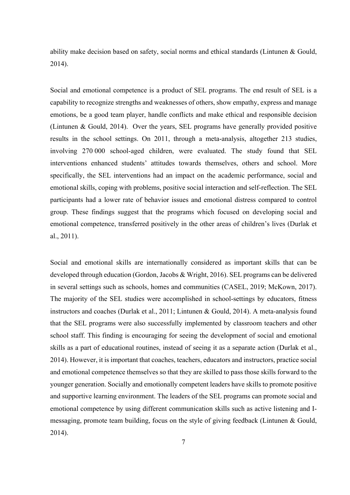ability make decision based on safety, social norms and ethical standards (Lintunen & Gould, 2014).

Social and emotional competence is a product of SEL programs. The end result of SEL is a capability to recognize strengths and weaknesses of others, show empathy, express and manage emotions, be a good team player, handle conflicts and make ethical and responsible decision (Lintunen & Gould, 2014). Over the years, SEL programs have generally provided positive results in the school settings. On 2011, through a meta-analysis, altogether 213 studies, involving 270 000 school-aged children, were evaluated. The study found that SEL interventions enhanced students' attitudes towards themselves, others and school. More specifically, the SEL interventions had an impact on the academic performance, social and emotional skills, coping with problems, positive social interaction and self-reflection. The SEL participants had a lower rate of behavior issues and emotional distress compared to control group. These findings suggest that the programs which focused on developing social and emotional competence, transferred positively in the other areas of children's lives (Durlak et al., 2011).

Social and emotional skills are internationally considered as important skills that can be developed through education (Gordon, Jacobs & Wright, 2016). SEL programs can be delivered in several settings such as schools, homes and communities (CASEL, 2019; McKown, 2017). The majority of the SEL studies were accomplished in school-settings by educators, fitness instructors and coaches (Durlak et al., 2011; Lintunen & Gould, 2014). A meta-analysis found that the SEL programs were also successfully implemented by classroom teachers and other school staff. This finding is encouraging for seeing the development of social and emotional skills as a part of educational routines, instead of seeing it as a separate action (Durlak et al., 2014). However, it is important that coaches, teachers, educators and instructors, practice social and emotional competence themselves so that they are skilled to pass those skills forward to the younger generation. Socially and emotionally competent leaders have skills to promote positive and supportive learning environment. The leaders of the SEL programs can promote social and emotional competence by using different communication skills such as active listening and Imessaging, promote team building, focus on the style of giving feedback (Lintunen & Gould, 2014).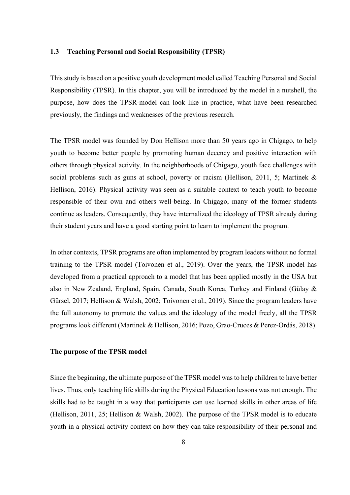#### **1.3 Teaching Personal and Social Responsibility (TPSR)**

This study is based on a positive youth development model called Teaching Personal and Social Responsibility (TPSR). In this chapter, you will be introduced by the model in a nutshell, the purpose, how does the TPSR-model can look like in practice, what have been researched previously, the findings and weaknesses of the previous research.

The TPSR model was founded by Don Hellison more than 50 years ago in Chigago, to help youth to become better people by promoting human decency and positive interaction with others through physical activity. In the neighborhoods of Chigago, youth face challenges with social problems such as guns at school, poverty or racism (Hellison, 2011, 5; Martinek & Hellison, 2016). Physical activity was seen as a suitable context to teach youth to become responsible of their own and others well-being. In Chigago, many of the former students continue as leaders. Consequently, they have internalized the ideology of TPSR already during their student years and have a good starting point to learn to implement the program.

In other contexts, TPSR programs are often implemented by program leaders without no formal training to the TPSR model (Toivonen et al., 2019). Over the years, the TPSR model has developed from a practical approach to a model that has been applied mostly in the USA but also in New Zealand, England, Spain, Canada, South Korea, Turkey and Finland (Gülay & Gürsel, 2017; Hellison & Walsh, 2002; Toivonen et al., 2019). Since the program leaders have the full autonomy to promote the values and the ideology of the model freely, all the TPSR programs look different (Martinek & Hellison, 2016; Pozo, Grao-Cruces & Perez-Ordás, 2018).

#### **The purpose of the TPSR model**

Since the beginning, the ultimate purpose of the TPSR model was to help children to have better lives. Thus, only teaching life skills during the Physical Education lessons was not enough. The skills had to be taught in a way that participants can use learned skills in other areas of life (Hellison, 2011, 25; Hellison & Walsh, 2002). The purpose of the TPSR model is to educate youth in a physical activity context on how they can take responsibility of their personal and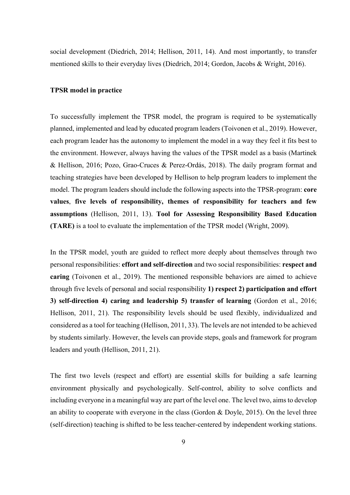social development (Diedrich, 2014; Hellison, 2011, 14). And most importantly, to transfer mentioned skills to their everyday lives (Diedrich, 2014; Gordon, Jacobs & Wright, 2016).

#### **TPSR model in practice**

To successfully implement the TPSR model, the program is required to be systematically planned, implemented and lead by educated program leaders (Toivonen et al., 2019). However, each program leader has the autonomy to implement the model in a way they feel it fits best to the environment. However, always having the values of the TPSR model as a basis (Martinek & Hellison, 2016; Pozo, Grao-Cruces & Perez-Ordás, 2018). The daily program format and teaching strategies have been developed by Hellison to help program leaders to implement the model. The program leaders should include the following aspects into the TPSR-program: **core values**, **five levels of responsibility, themes of responsibility for teachers and few assumptions** (Hellison, 2011, 13). **Tool for Assessing Responsibility Based Education (TARE)** is a tool to evaluate the implementation of the TPSR model (Wright, 2009).

In the TPSR model, youth are guided to reflect more deeply about themselves through two personal responsibilities: **effort and self-direction** and two social responsibilities: **respect and caring** (Toivonen et al., 2019). The mentioned responsible behaviors are aimed to achieve through five levels of personal and social responsibility **1) respect 2) participation and effort 3) self-direction 4) caring and leadership 5) transfer of learning** (Gordon et al., 2016; Hellison, 2011, 21). The responsibility levels should be used flexibly, individualized and considered as a tool for teaching (Hellison, 2011, 33). The levels are not intended to be achieved by students similarly. However, the levels can provide steps, goals and framework for program leaders and youth (Hellison, 2011, 21).

The first two levels (respect and effort) are essential skills for building a safe learning environment physically and psychologically. Self-control, ability to solve conflicts and including everyone in a meaningful way are part of the level one. The level two, aims to develop an ability to cooperate with everyone in the class (Gordon  $&$  Doyle, 2015). On the level three (self-direction) teaching is shifted to be less teacher-centered by independent working stations.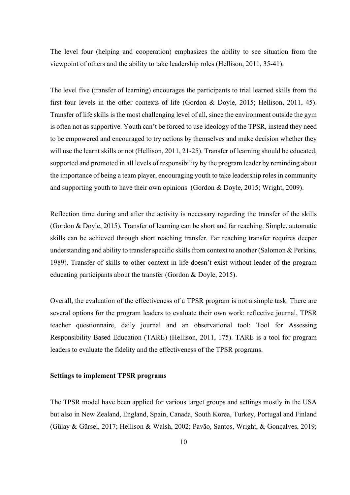The level four (helping and cooperation) emphasizes the ability to see situation from the viewpoint of others and the ability to take leadership roles (Hellison, 2011, 35-41).

The level five (transfer of learning) encourages the participants to trial learned skills from the first four levels in the other contexts of life (Gordon & Doyle, 2015; Hellison, 2011, 45). Transfer of life skills is the most challenging level of all, since the environment outside the gym is often not as supportive. Youth can't be forced to use ideology of the TPSR, instead they need to be empowered and encouraged to try actions by themselves and make decision whether they will use the learnt skills or not (Hellison, 2011, 21-25). Transfer of learning should be educated, supported and promoted in all levels of responsibility by the program leader by reminding about the importance of being a team player, encouraging youth to take leadership roles in community and supporting youth to have their own opinions (Gordon & Doyle, 2015; Wright, 2009).

Reflection time during and after the activity is necessary regarding the transfer of the skills (Gordon & Doyle, 2015). Transfer of learning can be short and far reaching. Simple, automatic skills can be achieved through short reaching transfer. Far reaching transfer requires deeper understanding and ability to transfer specific skills from context to another (Salomon & Perkins, 1989). Transfer of skills to other context in life doesn't exist without leader of the program educating participants about the transfer (Gordon & Doyle, 2015).

Overall, the evaluation of the effectiveness of a TPSR program is not a simple task. There are several options for the program leaders to evaluate their own work: reflective journal, TPSR teacher questionnaire, daily journal and an observational tool: Tool for Assessing Responsibility Based Education (TARE) (Hellison, 2011, 175). TARE is a tool for program leaders to evaluate the fidelity and the effectiveness of the TPSR programs.

#### **Settings to implement TPSR programs**

The TPSR model have been applied for various target groups and settings mostly in the USA but also in New Zealand, England, Spain, Canada, South Korea, Turkey, Portugal and Finland (Gülay & Gürsel, 2017; Hellison & Walsh, 2002; Pavão, Santos, Wright, & Gonçalves, 2019;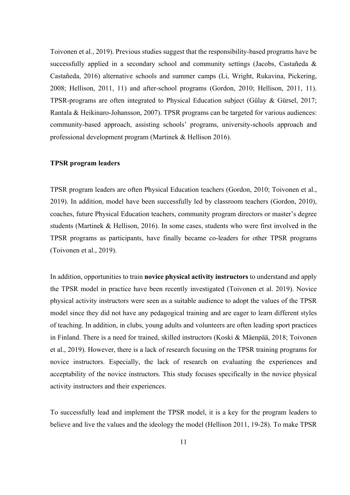Toivonen et al., 2019). Previous studies suggest that the responsibility-based programs have be successfully applied in a secondary school and community settings (Jacobs, Castañeda & Castañeda, 2016) alternative schools and summer camps (Li, Wright, Rukavina, Pickering, 2008; Hellison, 2011, 11) and after-school programs (Gordon, 2010; Hellison, 2011, 11). TPSR-programs are often integrated to Physical Education subject (Gülay & Gürsel, 2017; Rantala & Heikinaro-Johansson, 2007). TPSR programs can be targeted for various audiences: community-based approach, assisting schools' programs, university-schools approach and professional development program (Martinek & Hellison 2016).

#### **TPSR program leaders**

TPSR program leaders are often Physical Education teachers (Gordon, 2010; Toivonen et al., 2019). In addition, model have been successfully led by classroom teachers (Gordon, 2010), coaches, future Physical Education teachers, community program directors or master's degree students (Martinek & Hellison, 2016). In some cases, students who were first involved in the TPSR programs as participants, have finally became co-leaders for other TPSR programs (Toivonen et al., 2019).

In addition, opportunities to train **novice physical activity instructors** to understand and apply the TPSR model in practice have been recently investigated (Toivonen et al. 2019). Novice physical activity instructors were seen as a suitable audience to adopt the values of the TPSR model since they did not have any pedagogical training and are eager to learn different styles of teaching. In addition, in clubs, young adults and volunteers are often leading sport practices in Finland. There is a need for trained, skilled instructors (Koski & Mäenpää, 2018; Toivonen et al., 2019). However, there is a lack of research focusing on the TPSR training programs for novice instructors. Especially, the lack of research on evaluating the experiences and acceptability of the novice instructors. This study focuses specifically in the novice physical activity instructors and their experiences.

To successfully lead and implement the TPSR model, it is a key for the program leaders to believe and live the values and the ideology the model (Hellison 2011, 19-28). To make TPSR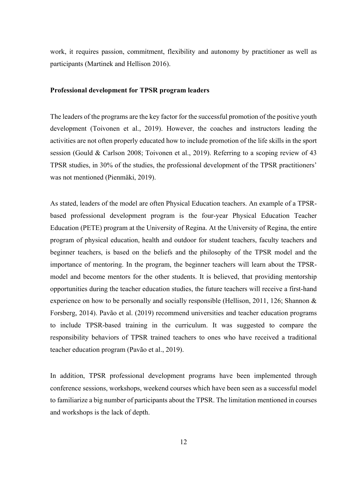work, it requires passion, commitment, flexibility and autonomy by practitioner as well as participants (Martinek and Hellison 2016).

#### **Professional development for TPSR program leaders**

The leaders of the programs are the key factor for the successful promotion of the positive youth development (Toivonen et al., 2019). However, the coaches and instructors leading the activities are not often properly educated how to include promotion of the life skills in the sport session (Gould & Carlson 2008; Toivonen et al., 2019). Referring to a scoping review of 43 TPSR studies, in 30% of the studies, the professional development of the TPSR practitioners' was not mentioned (Pienmäki, 2019).

As stated, leaders of the model are often Physical Education teachers. An example of a TPSRbased professional development program is the four-year Physical Education Teacher Education (PETE) program at the University of Regina. At the University of Regina, the entire program of physical education, health and outdoor for student teachers, faculty teachers and beginner teachers, is based on the beliefs and the philosophy of the TPSR model and the importance of mentoring. In the program, the beginner teachers will learn about the TPSRmodel and become mentors for the other students. It is believed, that providing mentorship opportunities during the teacher education studies, the future teachers will receive a first-hand experience on how to be personally and socially responsible (Hellison, 2011, 126; Shannon & Forsberg, 2014). Pavão et al. (2019) recommend universities and teacher education programs to include TPSR-based training in the curriculum. It was suggested to compare the responsibility behaviors of TPSR trained teachers to ones who have received a traditional teacher education program (Pavão et al., 2019).

In addition, TPSR professional development programs have been implemented through conference sessions, workshops, weekend courses which have been seen as a successful model to familiarize a big number of participants about the TPSR. The limitation mentioned in courses and workshops is the lack of depth.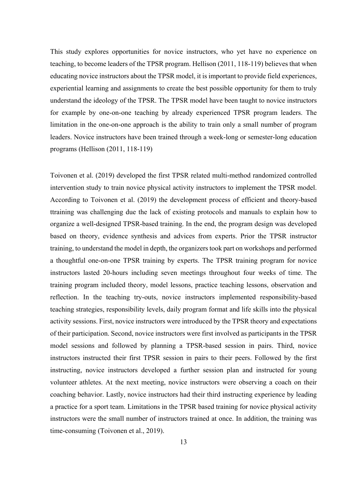This study explores opportunities for novice instructors, who yet have no experience on teaching, to become leaders of the TPSR program. Hellison (2011, 118-119) believes that when educating novice instructors about the TPSR model, it is important to provide field experiences, experiential learning and assignments to create the best possible opportunity for them to truly understand the ideology of the TPSR. The TPSR model have been taught to novice instructors for example by one-on-one teaching by already experienced TPSR program leaders. The limitation in the one-on-one approach is the ability to train only a small number of program leaders. Novice instructors have been trained through a week-long or semester-long education programs (Hellison (2011, 118-119)

Toivonen et al. (2019) developed the first TPSR related multi-method randomized controlled intervention study to train novice physical activity instructors to implement the TPSR model. According to Toivonen et al. (2019) the development process of efficient and theory-based ttraining was challenging due the lack of existing protocols and manuals to explain how to organize a well-designed TPSR-based training. In the end, the program design was developed based on theory, evidence synthesis and advices from experts. Prior the TPSR instructor training, to understand the model in depth, the organizers took part on workshops and performed a thoughtful one-on-one TPSR training by experts. The TPSR training program for novice instructors lasted 20-hours including seven meetings throughout four weeks of time. The training program included theory, model lessons, practice teaching lessons, observation and reflection. In the teaching try-outs, novice instructors implemented responsibility-based teaching strategies, responsibility levels, daily program format and life skills into the physical activity sessions. First, novice instructors were introduced by the TPSR theory and expectations of their participation. Second, novice instructors were first involved as participants in the TPSR model sessions and followed by planning a TPSR-based session in pairs. Third, novice instructors instructed their first TPSR session in pairs to their peers. Followed by the first instructing, novice instructors developed a further session plan and instructed for young volunteer athletes. At the next meeting, novice instructors were observing a coach on their coaching behavior. Lastly, novice instructors had their third instructing experience by leading a practice for a sport team. Limitations in the TPSR based training for novice physical activity instructors were the small number of instructors trained at once. In addition, the training was time-consuming (Toivonen et al., 2019).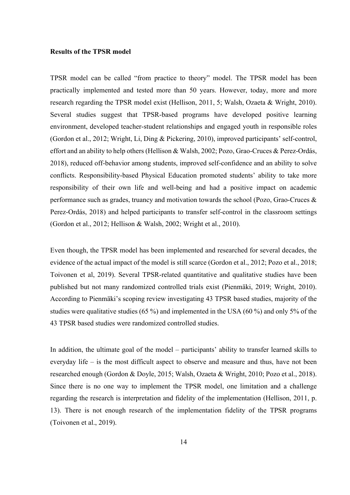#### **Results of the TPSR model**

TPSR model can be called "from practice to theory" model. The TPSR model has been practically implemented and tested more than 50 years. However, today, more and more research regarding the TPSR model exist (Hellison, 2011, 5; Walsh, Ozaeta & Wright, 2010). Several studies suggest that TPSR-based programs have developed positive learning environment, developed teacher-student relationships and engaged youth in responsible roles (Gordon et al., 2012; Wright, Li, Ding & Pickering, 2010), improved participants' self-control, effort and an ability to help others (Hellison & Walsh, 2002; Pozo, Grao-Cruces & Perez-Ordás, 2018), reduced off-behavior among students, improved self-confidence and an ability to solve conflicts. Responsibility-based Physical Education promoted students' ability to take more responsibility of their own life and well-being and had a positive impact on academic performance such as grades, truancy and motivation towards the school (Pozo, Grao-Cruces & Perez-Ordás, 2018) and helped participants to transfer self-control in the classroom settings (Gordon et al., 2012; Hellison & Walsh, 2002; Wright et al., 2010).

Even though, the TPSR model has been implemented and researched for several decades, the evidence of the actual impact of the model is still scarce (Gordon et al., 2012; Pozo et al., 2018; Toivonen et al, 2019). Several TPSR-related quantitative and qualitative studies have been published but not many randomized controlled trials exist (Pienmäki, 2019; Wright, 2010). According to Pienmäki's scoping review investigating 43 TPSR based studies, majority of the studies were qualitative studies (65 %) and implemented in the USA (60 %) and only 5% of the 43 TPSR based studies were randomized controlled studies.

In addition, the ultimate goal of the model – participants' ability to transfer learned skills to everyday life – is the most difficult aspect to observe and measure and thus, have not been researched enough (Gordon & Doyle, 2015; Walsh, Ozaeta & Wright, 2010; Pozo et al., 2018). Since there is no one way to implement the TPSR model, one limitation and a challenge regarding the research is interpretation and fidelity of the implementation (Hellison, 2011, p. 13). There is not enough research of the implementation fidelity of the TPSR programs (Toivonen et al., 2019).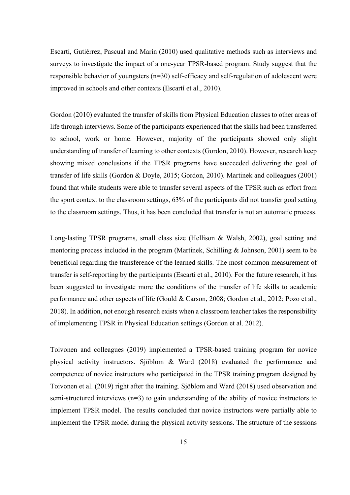Escartí, Gutiérrez, Pascual and Marín (2010) used qualitative methods such as interviews and surveys to investigate the impact of a one-year TPSR-based program. Study suggest that the responsible behavior of youngsters (n=30) self-efficacy and self-regulation of adolescent were improved in schools and other contexts (Escartí et al., 2010).

Gordon (2010) evaluated the transfer of skills from Physical Education classes to other areas of life through interviews. Some of the participants experienced that the skills had been transferred to school, work or home. However, majority of the participants showed only slight understanding of transfer of learning to other contexts (Gordon, 2010). However, research keep showing mixed conclusions if the TPSR programs have succeeded delivering the goal of transfer of life skills (Gordon & Doyle, 2015; Gordon, 2010). Martinek and colleagues (2001) found that while students were able to transfer several aspects of the TPSR such as effort from the sport context to the classroom settings, 63% of the participants did not transfer goal setting to the classroom settings. Thus, it has been concluded that transfer is not an automatic process.

Long-lasting TPSR programs, small class size (Hellison & Walsh, 2002), goal setting and mentoring process included in the program (Martinek, Schilling & Johnson, 2001) seem to be beneficial regarding the transference of the learned skills. The most common measurement of transfer is self-reporting by the participants (Escartí et al., 2010). For the future research, it has been suggested to investigate more the conditions of the transfer of life skills to academic performance and other aspects of life (Gould & Carson, 2008; Gordon et al., 2012; Pozo et al., 2018). In addition, not enough research exists when a classroom teacher takes the responsibility of implementing TPSR in Physical Education settings (Gordon et al. 2012).

Toivonen and colleagues (2019) implemented a TPSR-based training program for novice physical activity instructors. Sjöblom & Ward (2018) evaluated the performance and competence of novice instructors who participated in the TPSR training program designed by Toivonen et al. (2019) right after the training. Sjöblom and Ward (2018) used observation and semi-structured interviews  $(n=3)$  to gain understanding of the ability of novice instructors to implement TPSR model. The results concluded that novice instructors were partially able to implement the TPSR model during the physical activity sessions. The structure of the sessions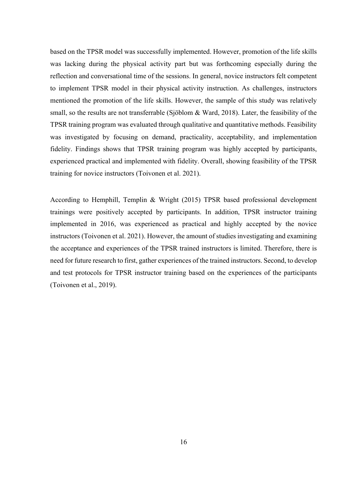based on the TPSR model was successfully implemented. However, promotion of the life skills was lacking during the physical activity part but was forthcoming especially during the reflection and conversational time of the sessions. In general, novice instructors felt competent to implement TPSR model in their physical activity instruction. As challenges, instructors mentioned the promotion of the life skills. However, the sample of this study was relatively small, so the results are not transferrable (Sjöblom & Ward, 2018). Later, the feasibility of the TPSR training program was evaluated through qualitative and quantitative methods. Feasibility was investigated by focusing on demand, practicality, acceptability, and implementation fidelity. Findings shows that TPSR training program was highly accepted by participants, experienced practical and implemented with fidelity. Overall, showing feasibility of the TPSR training for novice instructors (Toivonen et al. 2021).

According to Hemphill, Templin & Wright (2015) TPSR based professional development trainings were positively accepted by participants. In addition, TPSR instructor training implemented in 2016, was experienced as practical and highly accepted by the novice instructors (Toivonen et al. 2021). However, the amount of studies investigating and examining the acceptance and experiences of the TPSR trained instructors is limited. Therefore, there is need for future research to first, gather experiences of the trained instructors. Second, to develop and test protocols for TPSR instructor training based on the experiences of the participants (Toivonen et al., 2019).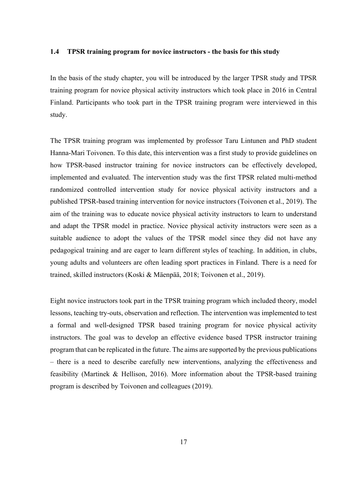#### **1.4 TPSR training program for novice instructors - the basis for this study**

In the basis of the study chapter, you will be introduced by the larger TPSR study and TPSR training program for novice physical activity instructors which took place in 2016 in Central Finland. Participants who took part in the TPSR training program were interviewed in this study.

The TPSR training program was implemented by professor Taru Lintunen and PhD student Hanna-Mari Toivonen. To this date, this intervention was a first study to provide guidelines on how TPSR-based instructor training for novice instructors can be effectively developed, implemented and evaluated. The intervention study was the first TPSR related multi-method randomized controlled intervention study for novice physical activity instructors and a published TPSR-based training intervention for novice instructors (Toivonen et al., 2019). The aim of the training was to educate novice physical activity instructors to learn to understand and adapt the TPSR model in practice. Novice physical activity instructors were seen as a suitable audience to adopt the values of the TPSR model since they did not have any pedagogical training and are eager to learn different styles of teaching. In addition, in clubs, young adults and volunteers are often leading sport practices in Finland. There is a need for trained, skilled instructors (Koski & Mäenpää, 2018; Toivonen et al., 2019).

Eight novice instructors took part in the TPSR training program which included theory, model lessons, teaching try-outs, observation and reflection. The intervention was implemented to test a formal and well-designed TPSR based training program for novice physical activity instructors. The goal was to develop an effective evidence based TPSR instructor training program that can be replicated in the future. The aims are supported by the previous publications – there is a need to describe carefully new interventions, analyzing the effectiveness and feasibility (Martinek & Hellison, 2016). More information about the TPSR-based training program is described by Toivonen and colleagues (2019).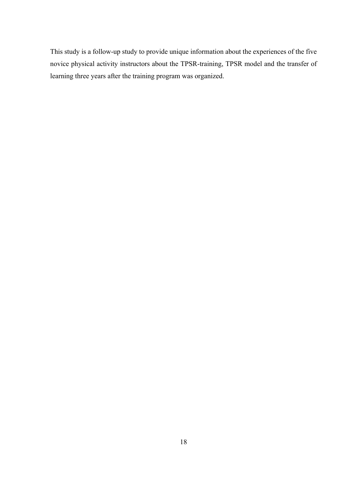This study is a follow-up study to provide unique information about the experiences of the five novice physical activity instructors about the TPSR-training, TPSR model and the transfer of learning three years after the training program was organized.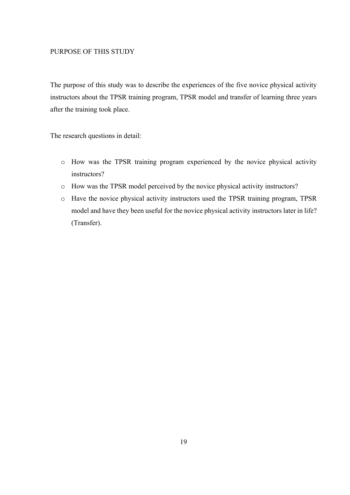#### PURPOSE OF THIS STUDY

The purpose of this study was to describe the experiences of the five novice physical activity instructors about the TPSR training program, TPSR model and transfer of learning three years after the training took place.

The research questions in detail:

- o How was the TPSR training program experienced by the novice physical activity instructors?
- o How was the TPSR model perceived by the novice physical activity instructors?
- o Have the novice physical activity instructors used the TPSR training program, TPSR model and have they been useful for the novice physical activity instructors later in life? (Transfer).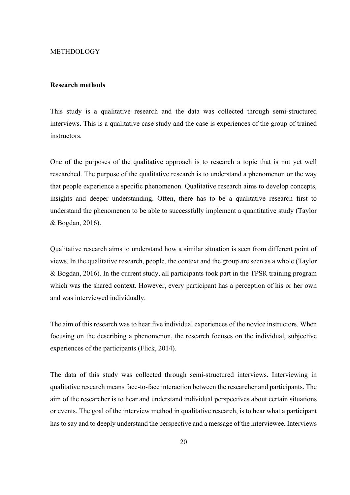#### METHDOLOGY

#### **Research methods**

This study is a qualitative research and the data was collected through semi-structured interviews. This is a qualitative case study and the case is experiences of the group of trained instructors.

One of the purposes of the qualitative approach is to research a topic that is not yet well researched. The purpose of the qualitative research is to understand a phenomenon or the way that people experience a specific phenomenon. Qualitative research aims to develop concepts, insights and deeper understanding. Often, there has to be a qualitative research first to understand the phenomenon to be able to successfully implement a quantitative study (Taylor & Bogdan, 2016).

Qualitative research aims to understand how a similar situation is seen from different point of views. In the qualitative research, people, the context and the group are seen as a whole (Taylor & Bogdan, 2016). In the current study, all participants took part in the TPSR training program which was the shared context. However, every participant has a perception of his or her own and was interviewed individually.

The aim of this research was to hear five individual experiences of the novice instructors. When focusing on the describing a phenomenon, the research focuses on the individual, subjective experiences of the participants (Flick, 2014).

The data of this study was collected through semi-structured interviews. Interviewing in qualitative research means face-to-face interaction between the researcher and participants. The aim of the researcher is to hear and understand individual perspectives about certain situations or events. The goal of the interview method in qualitative research, is to hear what a participant has to say and to deeply understand the perspective and a message of the interviewee. Interviews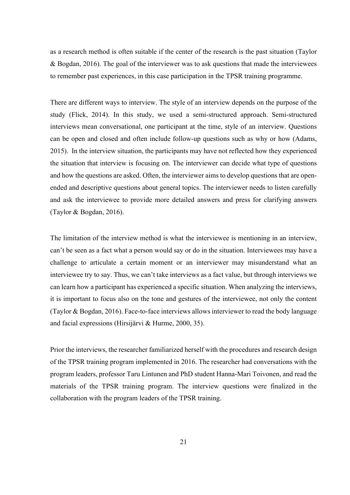as a research method is often suitable if the center of the research is the past situation (Taylor & Bogdan, 2016). The goal of the interviewer was to ask questions that made the interviewees to remember past experiences, in this case participation in the TPSR training programme.

There are different ways to interview. The style of an interview depends on the purpose of the study (Flick, 2014). In this study, we used a semi-structured approach. Semi-structured interviews mean conversational, one participant at the time, style of an interview. Questions can be open and closed and often include follow-up questions such as why or how (Adams, 2015). In the interview situation, the participants may have not reflected how they experienced the situation that interview is focusing on. The interviewer can decide what type of questions and how the questions are asked. Often, the interviewer aims to develop questions that are openended and descriptive questions about general topics. The interviewer needs to listen carefully and ask the interviewee to provide more detailed answers and press for clarifying answers (Taylor & Bogdan, 2016).

The limitation of the interview method is what the interviewee is mentioning in an interview, can't be seen as a fact what a person would say or do in the situation. Interviewees may have a challenge to articulate a certain moment or an interviewer may misunderstand what an interviewee try to say. Thus, we can't take interviews as a fact value, but through interviews we can learn how a participant has experienced a specific situation. When analyzing the interviews, it is important to focus also on the tone and gestures of the interviewee, not only the content (Taylor & Bogdan, 2016). Face-to-face interviews allows interviewer to read the body language and facial expressions (Hirsijärvi & Hurme, 2000, 35).

Prior the interviews, the researcher familiarized herself with the procedures and research design of the TPSR training program implemented in 2016. The researcher had conversations with the program leaders, professor Taru Lintunen and PhD student Hanna-Mari Toivonen, and read the materials of the TPSR training program. The interview questions were finalized in the collaboration with the program leaders of the TPSR training.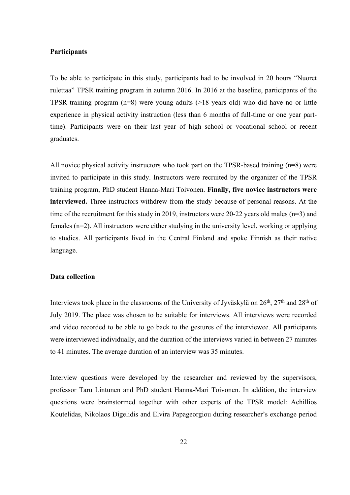#### **Participants**

To be able to participate in this study, participants had to be involved in 20 hours "Nuoret rulettaa" TPSR training program in autumn 2016. In 2016 at the baseline, participants of the TPSR training program (n=8) were young adults (>18 years old) who did have no or little experience in physical activity instruction (less than 6 months of full-time or one year parttime). Participants were on their last year of high school or vocational school or recent graduates.

All novice physical activity instructors who took part on the TPSR-based training  $(n=8)$  were invited to participate in this study. Instructors were recruited by the organizer of the TPSR training program, PhD student Hanna-Mari Toivonen. **Finally, five novice instructors were interviewed.** Three instructors withdrew from the study because of personal reasons. At the time of the recruitment for this study in 2019, instructors were 20-22 years old males (n=3) and females (n=2). All instructors were either studying in the university level, working or applying to studies. All participants lived in the Central Finland and spoke Finnish as their native language.

#### **Data collection**

Interviews took place in the classrooms of the University of Jyväskylä on  $26<sup>th</sup>$ ,  $27<sup>th</sup>$  and  $28<sup>th</sup>$  of July 2019. The place was chosen to be suitable for interviews. All interviews were recorded and video recorded to be able to go back to the gestures of the interviewee. All participants were interviewed individually, and the duration of the interviews varied in between 27 minutes to 41 minutes. The average duration of an interview was 35 minutes.

Interview questions were developed by the researcher and reviewed by the supervisors, professor Taru Lintunen and PhD student Hanna-Mari Toivonen. In addition, the interview questions were brainstormed together with other experts of the TPSR model: Achillios Koutelidas, Nikolaos Digelidis and Elvira Papageorgiou during researcher's exchange period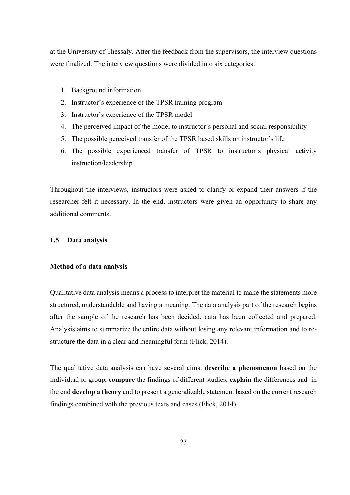at the University of Thessaly. After the feedback from the supervisors, the interview questions were finalized. The interview questions were divided into six categories:

- 1. Background information
- 2. Instructor's experience of the TPSR training program
- 3. Instructor's experience of the TPSR model
- 4. The perceived impact of the model to instructor's personal and social responsibility
- 5. The possible perceived transfer of the TPSR based skills on instructor's life
- 6. The possible experienced transfer of TPSR to instructor's physical activity instruction/leadership

Throughout the interviews, instructors were asked to clarify or expand their answers if the researcher felt it necessary. In the end, instructors were given an opportunity to share any additional comments.

#### **1.5 Data analysis**

#### **Method of a data analysis**

Qualitative data analysis means a process to interpret the material to make the statements more structured, understandable and having a meaning. The data analysis part of the research begins after the sample of the research has been decided, data has been collected and prepared. Analysis aims to summarize the entire data without losing any relevant information and to restructure the data in a clear and meaningful form (Flick, 2014).

The qualitative data analysis can have several aims: **describe a phenomenon** based on the individual or group, **compare** the findings of different studies, **explain** the differences and in the end **develop a theory** and to present a generalizable statement based on the current research findings combined with the previous texts and cases (Flick, 2014).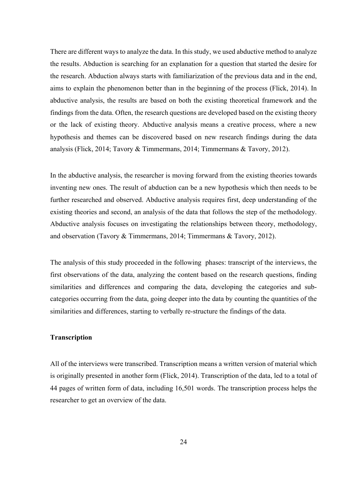There are different ways to analyze the data. In this study, we used abductive method to analyze the results. Abduction is searching for an explanation for a question that started the desire for the research. Abduction always starts with familiarization of the previous data and in the end, aims to explain the phenomenon better than in the beginning of the process (Flick, 2014). In abductive analysis, the results are based on both the existing theoretical framework and the findings from the data. Often, the research questions are developed based on the existing theory or the lack of existing theory. Abductive analysis means a creative process, where a new hypothesis and themes can be discovered based on new research findings during the data analysis (Flick, 2014; Tavory & Timmermans, 2014; Timmermans & Tavory, 2012).

In the abductive analysis, the researcher is moving forward from the existing theories towards inventing new ones. The result of abduction can be a new hypothesis which then needs to be further researched and observed. Abductive analysis requires first, deep understanding of the existing theories and second, an analysis of the data that follows the step of the methodology. Abductive analysis focuses on investigating the relationships between theory, methodology, and observation (Tavory & Timmermans, 2014; Timmermans & Tavory, 2012).

The analysis of this study proceeded in the following phases: transcript of the interviews, the first observations of the data, analyzing the content based on the research questions, finding similarities and differences and comparing the data, developing the categories and subcategories occurring from the data, going deeper into the data by counting the quantities of the similarities and differences, starting to verbally re-structure the findings of the data.

# **Transcription**

All of the interviews were transcribed. Transcription means a written version of material which is originally presented in another form (Flick, 2014). Transcription of the data, led to a total of 44 pages of written form of data, including 16,501 words. The transcription process helps the researcher to get an overview of the data.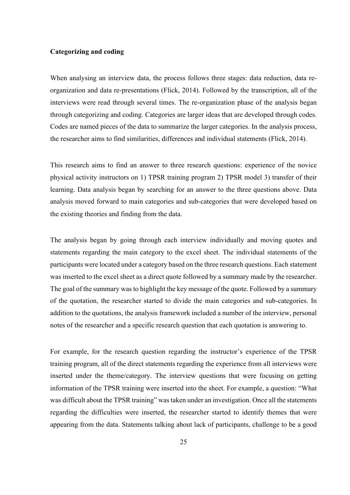#### **Categorizing and coding**

When analysing an interview data, the process follows three stages: data reduction, data reorganization and data re-presentations (Flick, 2014). Followed by the transcription, all of the interviews were read through several times. The re-organization phase of the analysis began through categorizing and coding. Categories are larger ideas that are developed through codes. Codes are named pieces of the data to summarize the larger categories. In the analysis process, the researcher aims to find similarities, differences and individual statements (Flick, 2014).

This research aims to find an answer to three research questions: experience of the novice physical activity instructors on 1) TPSR training program 2) TPSR model 3) transfer of their learning. Data analysis began by searching for an answer to the three questions above. Data analysis moved forward to main categories and sub-categories that were developed based on the existing theories and finding from the data.

The analysis began by going through each interview individually and moving quotes and statements regarding the main category to the excel sheet. The individual statements of the participants were located under a category based on the three research questions. Each statement was inserted to the excel sheet as a direct quote followed by a summary made by the researcher. The goal of the summary was to highlight the key message of the quote. Followed by a summary of the quotation, the researcher started to divide the main categories and sub-categories. In addition to the quotations, the analysis framework included a number of the interview, personal notes of the researcher and a specific research question that each quotation is answering to.

For example, for the research question regarding the instructor's experience of the TPSR training program, all of the direct statements regarding the experience from all interviews were inserted under the theme/category. The interview questions that were focusing on getting information of the TPSR training were inserted into the sheet. For example, a question: "What was difficult about the TPSR training" was taken under an investigation. Once all the statements regarding the difficulties were inserted, the researcher started to identify themes that were appearing from the data. Statements talking about lack of participants, challenge to be a good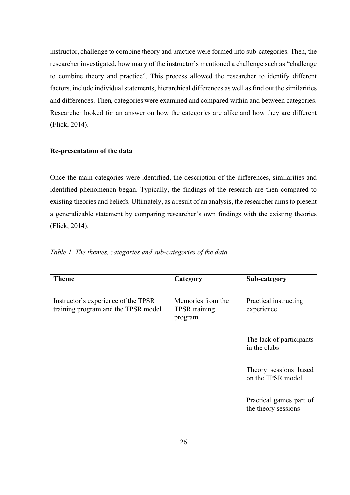instructor, challenge to combine theory and practice were formed into sub-categories. Then, the researcher investigated, how many of the instructor's mentioned a challenge such as "challenge to combine theory and practice". This process allowed the researcher to identify different factors, include individual statements, hierarchical differences as well as find out the similarities and differences. Then, categories were examined and compared within and between categories. Researcher looked for an answer on how the categories are alike and how they are different (Flick, 2014).

# **Re-presentation of the data**

Once the main categories were identified, the description of the differences, similarities and identified phenomenon began. Typically, the findings of the research are then compared to existing theories and beliefs. Ultimately, as a result of an analysis, the researcher aims to present a generalizable statement by comparing researcher's own findings with the existing theories (Flick, 2014).

| <b>Theme</b>                                                               | Category                                             | Sub-category                                   |
|----------------------------------------------------------------------------|------------------------------------------------------|------------------------------------------------|
| Instructor's experience of the TPSR<br>training program and the TPSR model | Memories from the<br><b>TPSR</b> training<br>program | Practical instructing<br>experience            |
|                                                                            |                                                      | The lack of participants<br>in the clubs       |
|                                                                            |                                                      | Theory sessions based<br>on the TPSR model     |
|                                                                            |                                                      | Practical games part of<br>the theory sessions |
|                                                                            |                                                      |                                                |

*Table 1. The themes, categories and sub-categories of the data*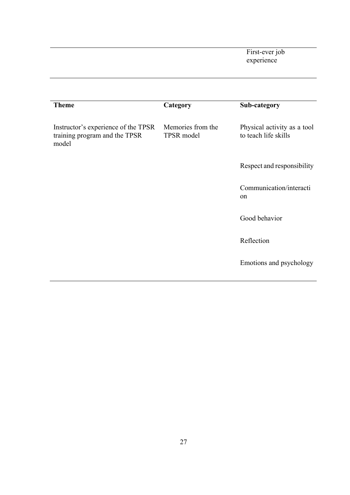First-ever job experience

| <b>Theme</b>                                                                  | Category                        | Sub-category                                        |
|-------------------------------------------------------------------------------|---------------------------------|-----------------------------------------------------|
| Instructor's experience of the TPSR<br>training program and the TPSR<br>model | Memories from the<br>TPSR model | Physical activity as a tool<br>to teach life skills |
|                                                                               |                                 | Respect and responsibility                          |
|                                                                               |                                 | Communication/interacti<br>on                       |
|                                                                               |                                 | Good behavior                                       |
|                                                                               |                                 | Reflection                                          |
|                                                                               |                                 | Emotions and psychology                             |
|                                                                               |                                 |                                                     |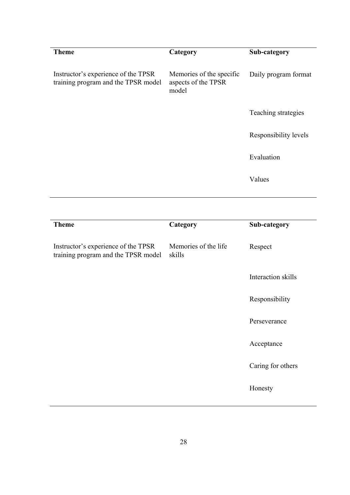| <b>Theme</b>                                                               | Category                                                 | Sub-category          |
|----------------------------------------------------------------------------|----------------------------------------------------------|-----------------------|
| Instructor's experience of the TPSR<br>training program and the TPSR model | Memories of the specific<br>aspects of the TPSR<br>model | Daily program format  |
|                                                                            |                                                          | Teaching strategies   |
|                                                                            |                                                          | Responsibility levels |
|                                                                            |                                                          | Evaluation            |
|                                                                            |                                                          | Values                |
|                                                                            |                                                          |                       |
|                                                                            |                                                          |                       |
| <b>Theme</b>                                                               | Category                                                 | Sub-category          |
| Instructor's experience of the TPSR<br>training program and the TPSR model | Memories of the life<br>skills                           | Respect               |
|                                                                            |                                                          | Interaction skills    |
|                                                                            |                                                          | Responsibility        |
|                                                                            |                                                          | Perseverance          |
|                                                                            |                                                          | Acceptance            |
|                                                                            |                                                          | Caring for others     |
|                                                                            |                                                          | Honesty               |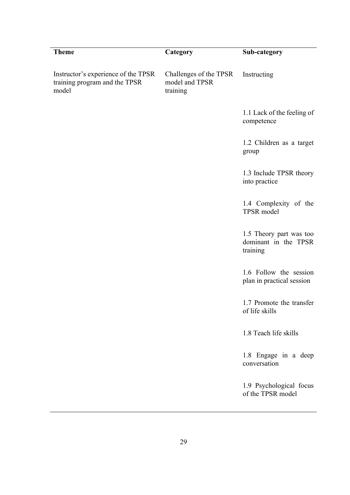| <b>Theme</b>                                                                  | Category                                             | Sub-category                                                |
|-------------------------------------------------------------------------------|------------------------------------------------------|-------------------------------------------------------------|
| Instructor's experience of the TPSR<br>training program and the TPSR<br>model | Challenges of the TPSR<br>model and TPSR<br>training | Instructing                                                 |
|                                                                               |                                                      | 1.1 Lack of the feeling of<br>competence                    |
|                                                                               |                                                      | 1.2 Children as a target<br>group                           |
|                                                                               |                                                      | 1.3 Include TPSR theory<br>into practice                    |
|                                                                               |                                                      | 1.4 Complexity of the<br>TPSR model                         |
|                                                                               |                                                      | 1.5 Theory part was too<br>dominant in the TPSR<br>training |
|                                                                               |                                                      | 1.6 Follow the session<br>plan in practical session         |
|                                                                               |                                                      | 1.7 Promote the transfer<br>of life skills                  |
|                                                                               |                                                      | 1.8 Teach life skills                                       |
|                                                                               |                                                      | 1.8 Engage in a deep<br>conversation                        |
|                                                                               |                                                      | 1.9 Psychological focus<br>of the TPSR model                |
|                                                                               |                                                      |                                                             |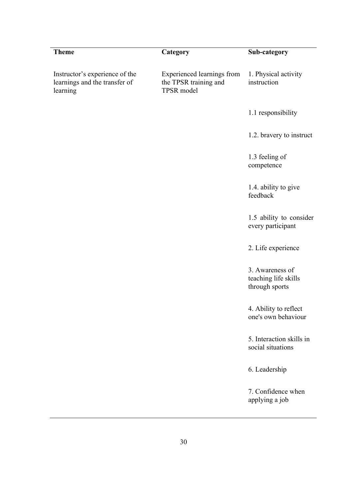| Category                                                                 | Sub-category                                              |
|--------------------------------------------------------------------------|-----------------------------------------------------------|
| <b>Experienced learnings from</b><br>the TPSR training and<br>TPSR model | 1. Physical activity<br>instruction                       |
|                                                                          | 1.1 responsibility                                        |
|                                                                          | 1.2. bravery to instruct                                  |
|                                                                          | 1.3 feeling of<br>competence                              |
|                                                                          | 1.4. ability to give<br>feedback                          |
|                                                                          | 1.5 ability to consider<br>every participant              |
|                                                                          | 2. Life experience                                        |
|                                                                          | 3. Awareness of<br>teaching life skills<br>through sports |
|                                                                          | 4. Ability to reflect<br>one's own behaviour              |
|                                                                          | 5. Interaction skills in<br>social situations             |
|                                                                          | 6. Leadership                                             |
|                                                                          | 7. Confidence when<br>applying a job                      |
|                                                                          |                                                           |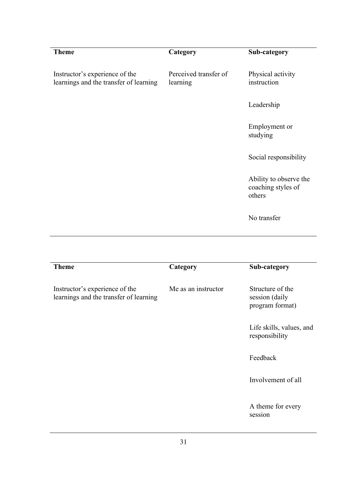| <b>Theme</b>                                                             | Category                          | Sub-category                                           |
|--------------------------------------------------------------------------|-----------------------------------|--------------------------------------------------------|
| Instructor's experience of the<br>learnings and the transfer of learning | Perceived transfer of<br>learning | Physical activity<br>instruction                       |
|                                                                          |                                   | Leadership                                             |
|                                                                          |                                   | Employment or<br>studying                              |
|                                                                          |                                   | Social responsibility                                  |
|                                                                          |                                   | Ability to observe the<br>coaching styles of<br>others |
|                                                                          |                                   | No transfer                                            |
|                                                                          |                                   |                                                        |
| <b>Theme</b>                                                             | Category                          | Sub-category                                           |
| Instructor's experience of the<br>learnings and the transfer of learning | Me as an instructor               | Structure of the<br>session (daily<br>program format)  |
|                                                                          |                                   | Life skills, values, and<br>responsibility             |
|                                                                          |                                   | Feedback                                               |
|                                                                          |                                   | Involvement of all                                     |
|                                                                          |                                   | A theme for every<br>session                           |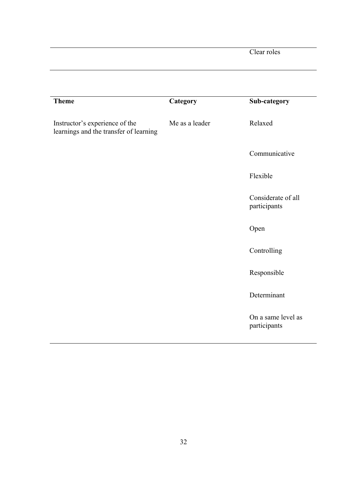Clear roles

| <b>Theme</b>                                                             | Category       | Sub-category                       |
|--------------------------------------------------------------------------|----------------|------------------------------------|
| Instructor's experience of the<br>learnings and the transfer of learning | Me as a leader | Relaxed                            |
|                                                                          |                | Communicative                      |
|                                                                          |                | Flexible                           |
|                                                                          |                | Considerate of all<br>participants |
|                                                                          |                | Open                               |
|                                                                          |                | Controlling                        |
|                                                                          |                | Responsible                        |
|                                                                          |                | Determinant                        |
|                                                                          |                | On a same level as<br>participants |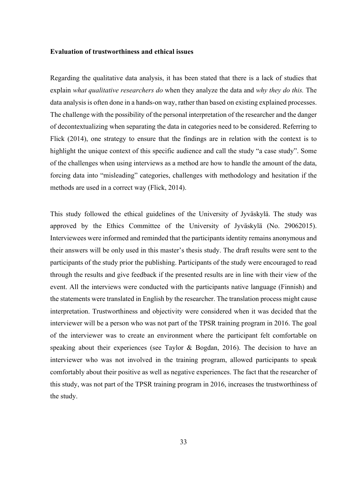#### **Evaluation of trustworthiness and ethical issues**

Regarding the qualitative data analysis, it has been stated that there is a lack of studies that explain *what qualitative researchers do* when they analyze the data and *why they do this.* The data analysis is often done in a hands-on way, rather than based on existing explained processes. The challenge with the possibility of the personal interpretation of the researcher and the danger of decontextualizing when separating the data in categories need to be considered. Referring to Flick (2014), one strategy to ensure that the findings are in relation with the context is to highlight the unique context of this specific audience and call the study "a case study". Some of the challenges when using interviews as a method are how to handle the amount of the data, forcing data into "misleading" categories, challenges with methodology and hesitation if the methods are used in a correct way (Flick, 2014).

This study followed the ethical guidelines of the University of Jyväskylä. The study was approved by the Ethics Committee of the University of Jyväskylä (No. 29062015). Interviewees were informed and reminded that the participants identity remains anonymous and their answers will be only used in this master's thesis study. The draft results were sent to the participants of the study prior the publishing. Participants of the study were encouraged to read through the results and give feedback if the presented results are in line with their view of the event. All the interviews were conducted with the participants native language (Finnish) and the statements were translated in English by the researcher. The translation process might cause interpretation. Trustworthiness and objectivity were considered when it was decided that the interviewer will be a person who was not part of the TPSR training program in 2016. The goal of the interviewer was to create an environment where the participant felt comfortable on speaking about their experiences (see Taylor & Bogdan, 2016). The decision to have an interviewer who was not involved in the training program, allowed participants to speak comfortably about their positive as well as negative experiences. The fact that the researcher of this study, was not part of the TPSR training program in 2016, increases the trustworthiness of the study.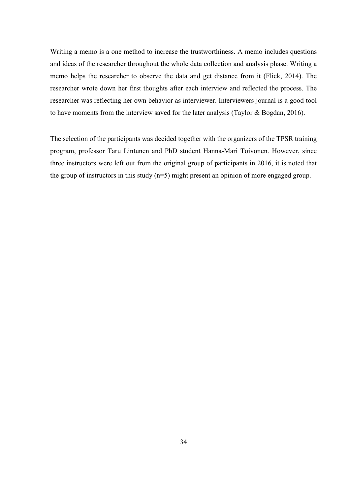Writing a memo is a one method to increase the trustworthiness. A memo includes questions and ideas of the researcher throughout the whole data collection and analysis phase. Writing a memo helps the researcher to observe the data and get distance from it (Flick, 2014). The researcher wrote down her first thoughts after each interview and reflected the process. The researcher was reflecting her own behavior as interviewer. Interviewers journal is a good tool to have moments from the interview saved for the later analysis (Taylor & Bogdan, 2016).

The selection of the participants was decided together with the organizers of the TPSR training program, professor Taru Lintunen and PhD student Hanna-Mari Toivonen. However, since three instructors were left out from the original group of participants in 2016, it is noted that the group of instructors in this study (n=5) might present an opinion of more engaged group.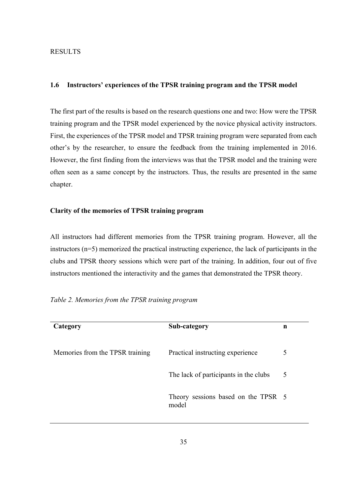## RESULTS

### **1.6 Instructors' experiences of the TPSR training program and the TPSR model**

The first part of the results is based on the research questions one and two: How were the TPSR training program and the TPSR model experienced by the novice physical activity instructors. First, the experiences of the TPSR model and TPSR training program were separated from each other's by the researcher, to ensure the feedback from the training implemented in 2016. However, the first finding from the interviews was that the TPSR model and the training were often seen as a same concept by the instructors. Thus, the results are presented in the same chapter.

### **Clarity of the memories of TPSR training program**

All instructors had different memories from the TPSR training program. However, all the instructors (n=5) memorized the practical instructing experience, the lack of participants in the clubs and TPSR theory sessions which were part of the training. In addition, four out of five instructors mentioned the interactivity and the games that demonstrated the TPSR theory.

| Category                        | Sub-category                                 | n |
|---------------------------------|----------------------------------------------|---|
| Memories from the TPSR training | Practical instructing experience             | 5 |
|                                 | The lack of participants in the clubs        | 5 |
|                                 | Theory sessions based on the TPSR 5<br>model |   |

*Table 2. Memories from the TPSR training program*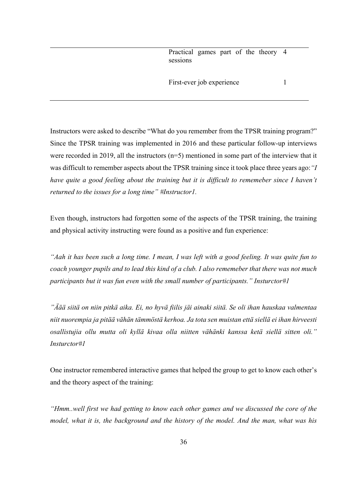Practical games part of the theory 4 sessions

First-ever job experience 1

Instructors were asked to describe "What do you remember from the TPSR training program?" Since the TPSR training was implemented in 2016 and these particular follow-up interviews were recorded in 2019, all the instructors (n=5) mentioned in some part of the interview that it was difficult to remember aspects about the TPSR training since it took place three years ago:*"I have quite a good feeling about the training but it is difficult to rememeber since I haven't returned to the issues for a long time" #Instructor1.* 

Even though, instructors had forgotten some of the aspects of the TPSR training, the training and physical activity instructing were found as a positive and fun experience:

*"Aah it has been such a long time. I mean, I was left with a good feeling. It was quite fun to coach younger pupils and to lead this kind of a club. I also rememeber that there was not much participants but it was fun even with the small number of participants." Insturctor#1*

*"Äää siitä on niin pitkä aika. Ei, no hyvä fiilis jäi ainaki siitä. Se oli ihan hauskaa valmentaa niit nuorempia ja pitää vähän tämmöstä kerhoa. Ja tota sen muistan että siellä ei ihan hirveesti osallistujia ollu mutta oli kyllä kivaa olla niitten vähänki kanssa ketä siellä sitten oli." Insturctor#1*

One instructor remembered interactive games that helped the group to get to know each other's and the theory aspect of the training:

*"Hmm..well first we had getting to know each other games and we discussed the core of the model, what it is, the background and the history of the model. And the man, what was his*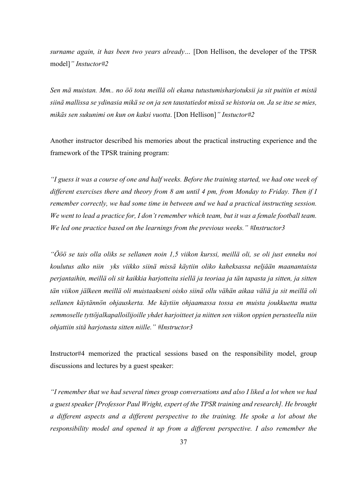*surname again, it has been two years already…* [Don Hellison, the developer of the TPSR model]*" Instuctor#2*

*Sen mä muistan. Mm.. no öö tota meillä oli ekana tutustumisharjotuksii ja sit puitiin et mistä siinä mallissa se ydinasia mikä se on ja sen taustatiedot missä se historia on. Ja se itse se mies, mikäs sen sukunimi on kun on kaksi vuotta*. [Don Hellison]*" Instuctor#2*

Another instructor described his memories about the practical instructing experience and the framework of the TPSR training program:

*"I guess it was a course of one and half weeks. Before the training started, we had one week of different exercises there and theory from 8 am until 4 pm, from Monday to Friday. Then if I remember correctly, we had some time in between and we had a practical instructing session. We went to lead a practice for, I don't remember which team, but it was a female football team. We led one practice based on the learnings from the previous weeks." #Instructor3*

*"Ööö se tais olla oliks se sellanen noin 1,5 viikon kurssi, meillä oli, se oli just enneku noi koulutus alko niin yks viikko siinä missä käytiin oliko kaheksassa neljään maanantaista perjantaihin, meillä oli sit kaikkia harjotteita siellä ja teoriaa ja tän tapasta ja sitten, ja sitten tän viikon jälkeen meillä oli muistaakseni oisko siinä ollu vähän aikaa väliä ja sit meillä oli sellanen käytännön ohjauskerta. Me käytiin ohjaamassa tossa en muista joukkuetta mutta semmoselle tyttöjalkapalloilijoille yhdet harjoitteet ja niitten sen viikon oppien perusteella niin ohjattiin sitä harjotusta sitten niille." #Instructor3*

Instructor#4 memorized the practical sessions based on the responsibility model, group discussions and lectures by a guest speaker:

*"I remember that we had several times group conversations and also I liked a lot when we had a guest speaker [Professor Paul Wright, expert of the TPSR training and research]. He brought a different aspects and a different perspective to the training. He spoke a lot about the responsibility model and opened it up from a different perspective. I also remember the*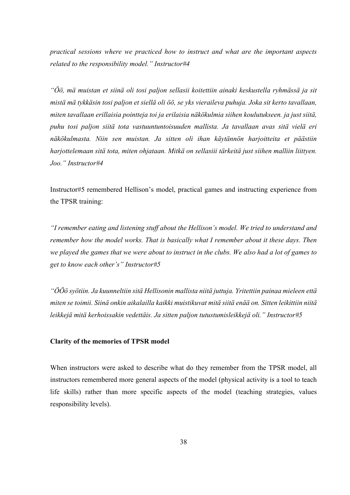*practical sessions where we practiced how to instruct and what are the important aspects related to the responsibility model." Instructor#4*

*"Öö, mä muistan et siinä oli tosi paljon sellasii koitettiin ainaki keskustella ryhmässä ja sit mistä mä tykkäsin tosi paljon et siellä oli öö, se yks vieraileva puhuja. Joka sit kerto tavallaan, miten tavallaan erillaisia pointteja toi ja erilaisia näkökulmia siihen koulutukseen. ja just siitä, puhu tosi paljon siitä tota vastuuntuntoisuuden mallista. Ja tavallaan avas sitä vielä eri näkökulmasta. Niin sen muistan. Ja sitten oli ihan käytännön harjoitteita et päästiin harjottelemaan sitä tota, miten ohjataan. Mitkä on sellasiii tärkeitä just siihen malliin liittyen. Joo." Instructor#4*

Instructor#5 remembered Hellison's model, practical games and instructing experience from the TPSR training:

*"I remember eating and listening stuff about the Hellison's model. We tried to understand and remember how the model works. That is basically what I remember about it these days. Then we played the games that we were about to instruct in the clubs. We also had a lot of games to get to know each other's" Instructor#5*

*"ÖÖö syötiin. Ja kuunneltiin sitä Hellisonin mallista niitä juttuja. Yritettiin painaa mieleen että miten se toimii. Siinä onkin aikalailla kaikki muistikuvat mitä siitä enää on. Sitten leikittiin niitä leikkejä mitä kerhoissakin vedettäis. Ja sitten paljon tutustumisleikkejä oli." Instructor#5*

## **Clarity of the memories of TPSR model**

When instructors were asked to describe what do they remember from the TPSR model, all instructors remembered more general aspects of the model (physical activity is a tool to teach life skills) rather than more specific aspects of the model (teaching strategies, values responsibility levels).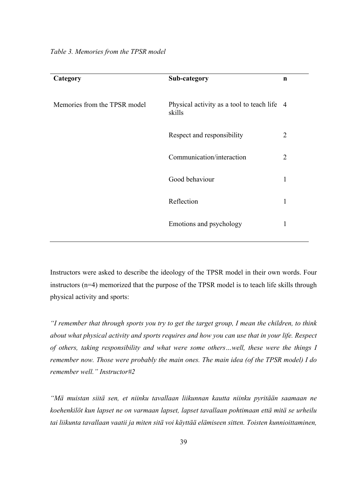| Category                     | Sub-category                                          | $\mathbf n$    |
|------------------------------|-------------------------------------------------------|----------------|
| Memories from the TPSR model | Physical activity as a tool to teach life 4<br>skills |                |
|                              | Respect and responsibility                            | $\overline{2}$ |
|                              | Communication/interaction                             | $\overline{2}$ |
|                              | Good behaviour                                        | 1              |
|                              | Reflection                                            | 1              |
|                              | Emotions and psychology                               | 1              |
|                              |                                                       |                |

*Table 3. Memories from the TPSR model* 

Instructors were asked to describe the ideology of the TPSR model in their own words. Four instructors (n=4) memorized that the purpose of the TPSR model is to teach life skills through physical activity and sports:

*"I remember that through sports you try to get the target group, I mean the children, to think about what physical activity and sports requires and how you can use that in your life. Respect of others, taking responsibility and what were some others…well, these were the things I remember now. Those were probably the main ones. The main idea (of the TPSR model) I do remember well." Instructor#2*

*"Mä muistan siitä sen, et niinku tavallaan liikunnan kautta niinku pyritään saamaan ne koehenkilöt kun lapset ne on varmaan lapset, lapset tavallaan pohtimaan että mitä se urheilu tai liikunta tavallaan vaatii ja miten sitä voi käyttää elämiseen sitten. Toisten kunnioittaminen,*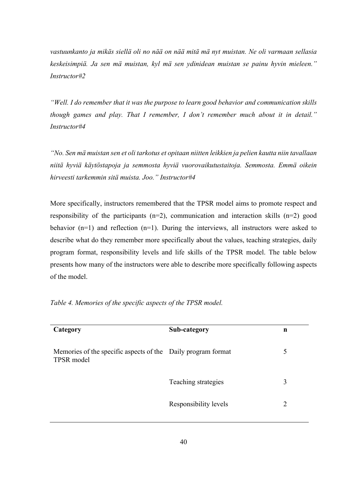*vastuunkanto ja mikäs siellä oli no nää on nää mitä mä nyt muistan. Ne oli varmaan sellasia keskeisimpiä. Ja sen mä muistan, kyl mä sen ydinidean muistan se painu hyvin mieleen." Instructor#2*

*"Well. I do remember that it was the purpose to learn good behavior and communication skills though games and play. That I remember, I don't remember much about it in detail." Instructor#4*

*"No. Sen mä muistan sen et oli tarkotus et opitaan niitten leikkien ja pelien kautta niin tavallaan niitä hyviä käytöstapoja ja semmosta hyviä vuorovaikutustaitoja. Semmosta. Emmä oikein hirveesti tarkemmin sitä muista. Joo." Instructor#4*

More specifically, instructors remembered that the TPSR model aims to promote respect and responsibility of the participants  $(n=2)$ , communication and interaction skills  $(n=2)$  good behavior  $(n=1)$  and reflection  $(n=1)$ . During the interviews, all instructors were asked to describe what do they remember more specifically about the values, teaching strategies, daily program format, responsibility levels and life skills of the TPSR model. The table below presents how many of the instructors were able to describe more specifically following aspects of the model.

*Table 4. Memories of the specific aspects of the TPSR model.* 

| Category                                                                   | Sub-category          | n |
|----------------------------------------------------------------------------|-----------------------|---|
| Memories of the specific aspects of the Daily program format<br>TPSR model |                       | 5 |
|                                                                            | Teaching strategies   | 3 |
|                                                                            | Responsibility levels | 2 |
|                                                                            |                       |   |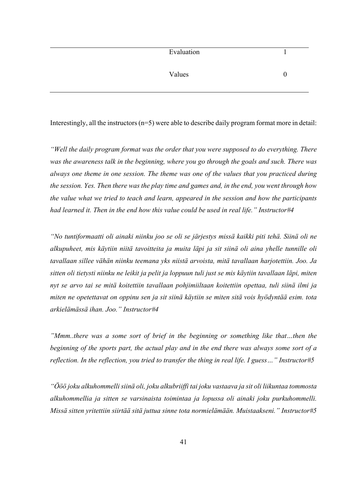| Evaluation |  |
|------------|--|
|------------|--|

Values 0

Interestingly, all the instructors  $(n=5)$  were able to describe daily program format more in detail:

*"Well the daily program format was the order that you were supposed to do everything. There was the awareness talk in the beginning, where you go through the goals and such. There was always one theme in one session. The theme was one of the values that you practiced during the session. Yes. Then there was the play time and games and, in the end, you went through how the value what we tried to teach and learn, appeared in the session and how the participants had learned it. Then in the end how this value could be used in real life." Instructor#4*

*"No tuntiformaatti oli ainaki niinku joo se oli se järjestys missä kaikki piti tehä. Siinä oli ne alkupuheet, mis käytiin niitä tavoitteita ja muita läpi ja sit siinä oli aina yhelle tunnille oli tavallaan sillee vähän niinku teemana yks niistä arvoista, mitä tavallaan harjotettiin. Joo. Ja sitten oli tietysti niinku ne leikit ja pelit ja loppuun tuli just se mis käytiin tavallaan läpi, miten nyt se arvo tai se mitä koitettiin tavallaan pohjimiiltaan koitettiin opettaa, tuli siinä ilmi ja miten ne opetettavat on oppinu sen ja sit siinä käytiin se miten sitä vois hyödyntää esim. tota arkielämässä ihan. Joo." Instructor#4*

*"Mmm..there was a some sort of brief in the beginning or something like that…then the beginning of the sports part, the actual play and in the end there was always some sort of a reflection. In the reflection, you tried to transfer the thing in real life. I guess…" Instructor#5*

*"Ööö joku alkuhommelli siinä oli, joku alkubriiffi tai joku vastaava ja sit oli liikuntaa tommosta alkuhommellia ja sitten se varsinaista toimintaa ja lopussa oli ainaki joku purkuhommelli. Missä sitten yritettiin siirtää sitä juttua sinne tota normielämään. Muistaakseni." Instructor#5*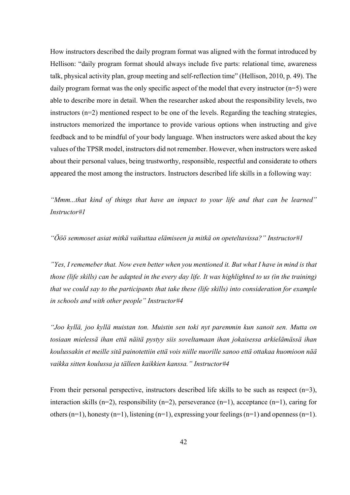How instructors described the daily program format was aligned with the format introduced by Hellison: "daily program format should always include five parts: relational time, awareness talk, physical activity plan, group meeting and self-reflection time" (Hellison, 2010, p. 49). The daily program format was the only specific aspect of the model that every instructor  $(n=5)$  were able to describe more in detail. When the researcher asked about the responsibility levels, two instructors (n=2) mentioned respect to be one of the levels. Regarding the teaching strategies, instructors memorized the importance to provide various options when instructing and give feedback and to be mindful of your body language. When instructors were asked about the key values of the TPSR model, instructors did not remember. However, when instructors were asked about their personal values, being trustworthy, responsible, respectful and considerate to others appeared the most among the instructors. Instructors described life skills in a following way:

*"Mmm...that kind of things that have an impact to your life and that can be learned" Instructor#1*

*"Ööö semmoset asiat mitkä vaikuttaa elämiseen ja mitkä on opeteltavissa?" Instructor#1*

*"Yes, I rememeber that. Now even better when you mentioned it. But what I have in mind is that those (life skills) can be adapted in the every day life. It was highlighted to us (in the training) that we could say to the participants that take these (life skills) into consideration for example in schools and with other people" Instructor#4*

*"Joo kyllä, joo kyllä muistan ton. Muistin sen toki nyt paremmin kun sanoit sen. Mutta on tosiaan mielessä ihan että näitä pystyy siis soveltamaan ihan jokaisessa arkielämässä ihan koulussakin et meille sitä painotettiin että vois niille nuorille sanoo että ottakaa huomioon nää vaikka sitten koulussa ja tälleen kaikkien kanssa." Instructor#4*

From their personal perspective, instructors described life skills to be such as respect  $(n=3)$ , interaction skills (n=2), responsibility (n=2), perseverance (n=1), acceptance (n=1), caring for others (n=1), honesty (n=1), listening (n=1), expressing your feelings (n=1) and openness (n=1).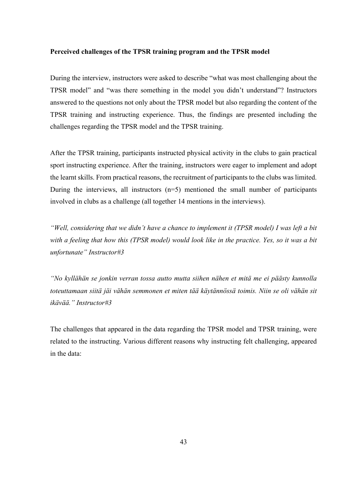### **Perceived challenges of the TPSR training program and the TPSR model**

During the interview, instructors were asked to describe "what was most challenging about the TPSR model" and "was there something in the model you didn't understand"? Instructors answered to the questions not only about the TPSR model but also regarding the content of the TPSR training and instructing experience. Thus, the findings are presented including the challenges regarding the TPSR model and the TPSR training.

After the TPSR training, participants instructed physical activity in the clubs to gain practical sport instructing experience. After the training, instructors were eager to implement and adopt the learnt skills. From practical reasons, the recruitment of participants to the clubs was limited. During the interviews, all instructors  $(n=5)$  mentioned the small number of participants involved in clubs as a challenge (all together 14 mentions in the interviews).

*"Well, considering that we didn't have a chance to implement it (TPSR model) I was left a bit with a feeling that how this (TPSR model) would look like in the practice. Yes, so it was a bit unfortunate" Instructor#3*

*"No kyllähän se jonkin verran tossa autto mutta siihen nähen et mitä me ei päästy kunnolla toteuttamaan siitä jäi vähän semmonen et miten tää käytännössä toimis. Niin se oli vähän sit ikävää." Instructor#3*

The challenges that appeared in the data regarding the TPSR model and TPSR training, were related to the instructing. Various different reasons why instructing felt challenging, appeared in the data: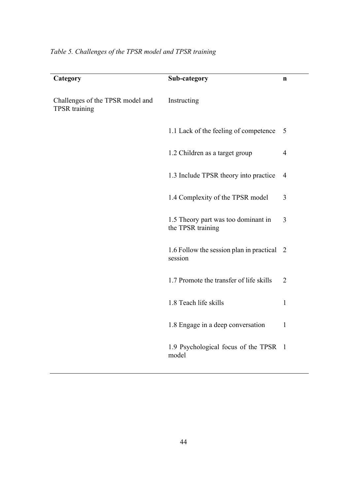| Category                                                 | Sub-category                                             | n              |
|----------------------------------------------------------|----------------------------------------------------------|----------------|
| Challenges of the TPSR model and<br><b>TPSR</b> training | Instructing                                              |                |
|                                                          | 1.1 Lack of the feeling of competence                    | 5              |
|                                                          | 1.2 Children as a target group                           | $\overline{4}$ |
|                                                          | 1.3 Include TPSR theory into practice                    | $\overline{4}$ |
|                                                          | 1.4 Complexity of the TPSR model                         | 3              |
|                                                          | 1.5 Theory part was too dominant in<br>the TPSR training | 3              |
|                                                          | 1.6 Follow the session plan in practical 2<br>session    |                |
|                                                          | 1.7 Promote the transfer of life skills                  | $\overline{2}$ |
|                                                          | 1.8 Teach life skills                                    | 1              |
|                                                          | 1.8 Engage in a deep conversation                        | 1              |
|                                                          | 1.9 Psychological focus of the TPSR<br>model             | $\overline{1}$ |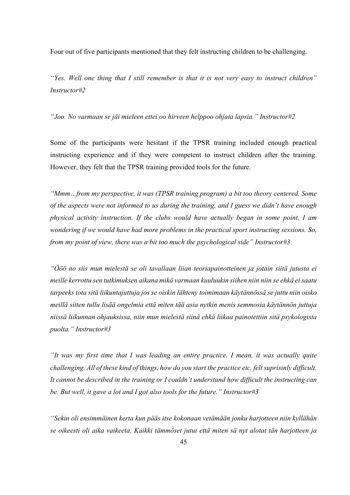Four out of five participants mentioned that they felt instructing children to be challenging.

*"Yes. Well one thing that I still remember is that it is not very easy to instruct children" Instructor#2*

*"Joo. No varmaan se jäi mieleen ettei oo hirveen helppoo ohjata lapsia." Instructor#2*

Some of the participants were hesitant if the TPSR training included enough practical instructing experience and if they were competent to instruct children after the training. However, they felt that the TPSR training provided tools for the future.

*"Mmm…from my perspective, it was (TPSR training program) a bit too theory centered. Some of the aspects were not informed to us during the training, and I guess we didn't have enough physical activity instruction. If the clubs would have actually began in some point, I am wondering if we would have had more problems in the practical sport instructing sessions. So, from my point of view, there was a bit too much the psychological side" Instructor#3*

*"Ööö no siis mun mielestä se oli tavallaan liian teoriapainotteinen ja jotain siitä jutusta ei meille kerrottu sen tutkimuksen aikana mikä varmaan kuuluukin siihen niin niin se ehkä ei saatu tarpeeks tota sitä liikuntajuttuja jos se oiskin lähteny toimimaan käytännössä se juttu niin oisko meillä sitten tullu lisää ongelmia että miten tää asia nytkin menis semmosia käytännön juttuja niissä liikunnan ohjauksissa, niin mun mielestä siinä ehkä liikaa painotettiin sitä psykologista puolta." Instructor#3*

*"It was my first time that I was leading an entire practice. I mean, it was actually quite challenging. All of these kind of things, how do you start the practice etc. felt suprisinly difficult. It cannot be described in the training or I couldn't understand how difficult the instructing can be. But well, it gave a lot and I got also tools for the future." Instructor#3*

*"Sekin oli ensimmäinen kerta kun pääs itse kokonaan vetämään jonku harjotteen niin kyllähän se oikeesti oli aika vaikeeta. Kaikki tämmöset jutut että miten sä nyt alotat tän harjotteen ja*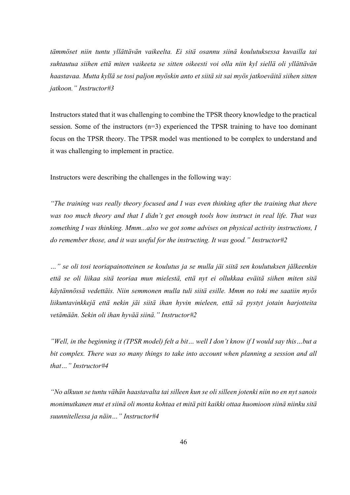*tämmöset niin tuntu yllättävän vaikeelta. Ei sitä osannu siinä koulutuksessa kuvailla tai suhtautua siihen että miten vaikeeta se sitten oikeesti voi olla niin kyl siellä oli yllättävän haastavaa. Mutta kyllä se tosi paljon myöskin anto et siitä sit sai myös jatkoeväitä siihen sitten jatkoon." Instructor#3*

Instructors stated that it was challenging to combine the TPSR theory knowledge to the practical session. Some of the instructors (n=3) experienced the TPSR training to have too dominant focus on the TPSR theory. The TPSR model was mentioned to be complex to understand and it was challenging to implement in practice.

Instructors were describing the challenges in the following way:

*"The training was really theory focused and I was even thinking after the training that there was too much theory and that I didn't get enough tools how instruct in real life. That was something I was thinking. Mmm...also we got some advises on physical activity instructions, I do remember those, and it was useful for the instructing. It was good." Instructor#2*

*…" se oli tosi teoriapainotteinen se koulutus ja se mulla jäi siitä sen koulutuksen jälkeenkin että se oli liikaa sitä teoriaa mun mielestä, että nyt ei ollukkaa eväitä siihen miten sitä käytännössä vedettäis. Niin semmonen mulla tuli siitä esille. Mmm no toki me saatiin myös liikuntavinkkejä että nekin jäi siitä ihan hyvin mieleen, että sä pystyt jotain harjotteita vetämään. Sekin oli ihan hyvää siinä." Instructor#2*

*"Well, in the beginning it (TPSR model) felt a bit… well I don't know if I would say this…but a bit complex. There was so many things to take into account when planning a session and all that…" Instructor#4*

*"No alkuun se tuntu vähän haastavalta tai silleen kun se oli silleen jotenki niin no en nyt sanois monimutkanen mut et siinä oli monta kohtaa et mitä piti kaikki ottaa huomioon siinä niinku sitä suunnitellessa ja näin…" Instructor#4*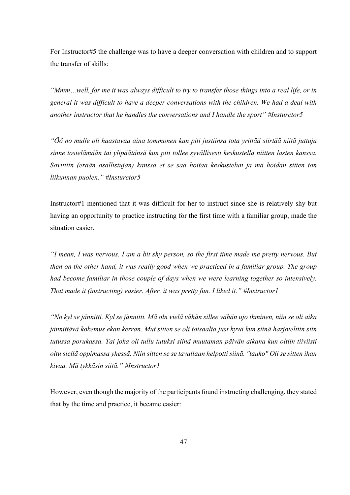For Instructor#5 the challenge was to have a deeper conversation with children and to support the transfer of skills:

*"Mmm…well, for me it was always difficult to try to transfer those things into a real life, or in general it was difficult to have a deeper conversations with the children. We had a deal with another instructor that he handles the conversations and I handle the sport" #Insturctor5*

*"Öö no mulle oli haastavaa aina tommonen kun piti justiinsa tota yrittää siirtää niitä juttuja sinne tosielämään tai ylipäätänsä kun piti tollee syvällisesti keskustella niitten lasten kanssa. Sovittiin (erään osallistujan) kanssa et se saa hoitaa keskustelun ja mä hoidan sitten ton liikunnan puolen." #Insturctor5*

Instructor#1 mentioned that it was difficult for her to instruct since she is relatively shy but having an opportunity to practice instructing for the first time with a familiar group, made the situation easier.

*"I mean, I was nervous. I am a bit shy person, so the first time made me pretty nervous. But then on the other hand, it was really good when we practiced in a familiar group. The group had become familiar in those couple of days when we were learning together so intensively. That made it (instructing) easier. After, it was pretty fun. I liked it." #Instructor1*

*"No kyl se jännitti. Kyl se jännitti. Mä oln vielä vähän sillee vähän ujo ihminen, niin se oli aika jännittävä kokemus ekan kerran. Mut sitten se oli toisaalta just hyvä kun siinä harjoteltiin siin tutussa porukassa. Tai joka oli tullu tutuksi siinä muutaman päivän aikana kun oltiin tiiviisti oltu siellä oppimassa yhessä. Niin sitten se se tavallaan helpotti siinä. "tauko" Oli se sitten ihan kivaa. Mä tykkäsin siitä." #Instructor1*

However, even though the majority of the participants found instructing challenging, they stated that by the time and practice, it became easier: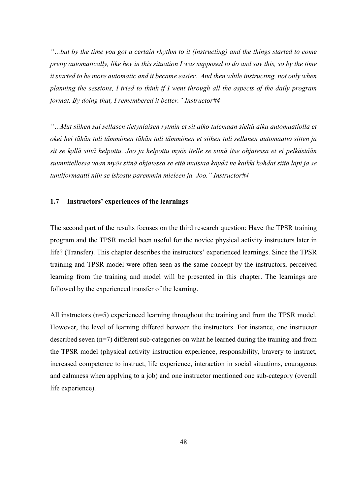*"…but by the time you got a certain rhythm to it (instructing) and the things started to come pretty automatically, like hey in this situation I was supposed to do and say this, so by the time it started to be more automatic and it became easier. And then while instructing, not only when planning the sessions, I tried to think if I went through all the aspects of the daily program format. By doing that, I remembered it better." Instructor#4*

*"…Mut siihen sai sellasen tietynlaisen rytmin et sit alko tulemaan sieltä aika automaatiolla et okei hei tähän tuli tämmönen tähän tuli tämmönen et siihen tuli sellanen automaatio sitten ja sit se kyllä siitä helpottu. Joo ja helpottu myös itelle se siinä itse ohjatessa et ei pelkästään suunnitellessa vaan myös siinä ohjatessa se että muistaa käydä ne kaikki kohdat siitä läpi ja se tuntiformaatti niin se iskostu paremmin mieleen ja. Joo." Instructor#4*

## **1.7 Instructors' experiences of the learnings**

The second part of the results focuses on the third research question: Have the TPSR training program and the TPSR model been useful for the novice physical activity instructors later in life? (Transfer). This chapter describes the instructors' experienced learnings. Since the TPSR training and TPSR model were often seen as the same concept by the instructors, perceived learning from the training and model will be presented in this chapter. The learnings are followed by the experienced transfer of the learning.

All instructors (n=5) experienced learning throughout the training and from the TPSR model. However, the level of learning differed between the instructors. For instance, one instructor described seven (n=7) different sub-categories on what he learned during the training and from the TPSR model (physical activity instruction experience, responsibility, bravery to instruct, increased competence to instruct, life experience, interaction in social situations, courageous and calmness when applying to a job) and one instructor mentioned one sub-category (overall life experience).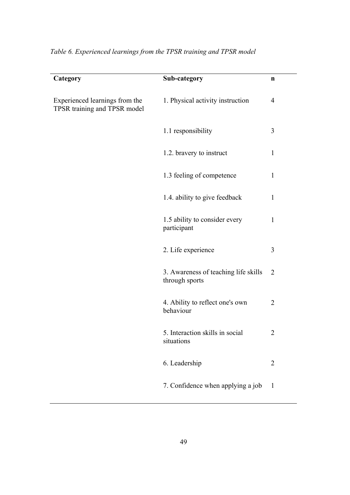| Category                                                       | Sub-category                                           | n              |
|----------------------------------------------------------------|--------------------------------------------------------|----------------|
| Experienced learnings from the<br>TPSR training and TPSR model | 1. Physical activity instruction                       | $\overline{4}$ |
|                                                                | 1.1 responsibility                                     | 3              |
|                                                                | 1.2. bravery to instruct                               | $\mathbf{1}$   |
|                                                                | 1.3 feeling of competence                              | $\mathbf{1}$   |
|                                                                | 1.4. ability to give feedback                          | $\mathbf{1}$   |
|                                                                | 1.5 ability to consider every<br>participant           | $\mathbf{1}$   |
|                                                                | 2. Life experience                                     | 3              |
|                                                                | 3. Awareness of teaching life skills<br>through sports | 2              |
|                                                                | 4. Ability to reflect one's own<br>behaviour           | 2              |
|                                                                | 5. Interaction skills in social<br>situations          | 2              |
|                                                                | 6. Leadership                                          | $\overline{2}$ |
|                                                                | 7. Confidence when applying a job                      | $\mathbf{1}$   |

*Table 6. Experienced learnings from the TPSR training and TPSR model*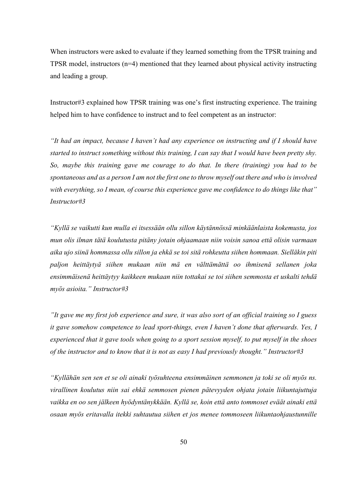When instructors were asked to evaluate if they learned something from the TPSR training and TPSR model, instructors (n=4) mentioned that they learned about physical activity instructing and leading a group.

Instructor#3 explained how TPSR training was one's first instructing experience. The training helped him to have confidence to instruct and to feel competent as an instructor:

*"It had an impact, because I haven't had any experience on instructing and if I should have started to instruct something without this training, I can say that I would have been pretty shy. So, maybe this training gave me courage to do that. In there (training) you had to be spontaneous and as a person I am not the first one to throw myself out there and who is involved with everything, so I mean, of course this experience gave me confidence to do things like that" Instructor#3*

*"Kyllä se vaikutti kun mulla ei itsessään ollu sillon käytännössä minkäänlaista kokemusta, jos mun olis ilman tätä koulutusta pitäny jotain ohjaamaan niin voisin sanoa että olisin varmaan aika ujo siinä hommassa ollu sillon ja ehkä se toi sitä rohkeutta siihen hommaan. Sielläkin piti paljon heittäytyä siihen mukaan niin mä en välttämättä oo ihmisenä sellanen joka ensimmäisenä heittäytyy kaikkeen mukaan niin tottakai se toi siihen semmosta et uskalti tehdä myös asioita." Instructor#3*

*"It gave me my first job experience and sure, it was also sort of an official training so I guess it gave somehow competence to lead sport-things, even I haven't done that afterwards. Yes, I experienced that it gave tools when going to a sport session myself, to put myself in the shoes of the instructor and to know that it is not as easy I had previously thought." Instructor#3*

*"Kyllähän sen sen et se oli ainaki työsuhteena ensimmäinen semmonen ja toki se oli myös ns. virallinen koulutus niin sai ehkä semmosen pienen pätevyyden ohjata jotain liikuntajuttuja vaikka en oo sen jälkeen hyödyntänykkään. Kyllä se, koin että anto tommoset eväät ainaki että osaan myös eritavalla itekki suhtautua siihen et jos menee tommoseen liikuntaohjaustunnille*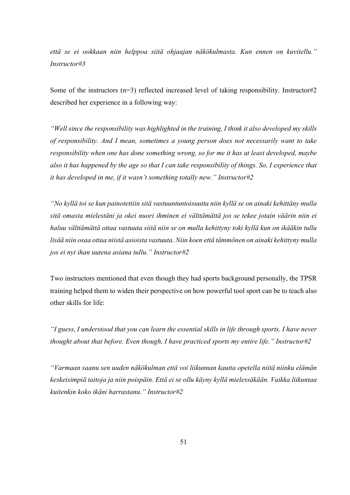*että se ei ookkaan niin helppoa siitä ohjaajan näkökulmasta. Kun ennen on kuvitellu." Instructor#3*

Some of the instructors (n=3) reflected increased level of taking responsibility. Instructor#2 described her experience in a following way:

*"Well since the responsibility was highlighted in the training, I think it also developed my skills of responsibility. And I mean, sometimes a young person does not necessarily want to take responsibility when one has done something wrong, so for me it has at least developed, maybe also it has happened by the age so that I can take responsibility of things. So, I experience that it has developed in me, if it wasn't something totally new." Instructor#2*

*"No kyllä toi se kun painotettiin sitä vastuuntuntoisuutta niin kyllä se on ainaki kehittäny mulla sitä omasta mielestäni ja okei nuori ihminen ei välttämättä jos se tekee jotain väärin niin ei haluu välttämättä ottaa vastuuta siitä niin se on mulla kehittyny toki kyllä kun on ikääkin tullu lisää niin osaa ottaa niistä asioista vastuuta. Niin koen että tämmönen on ainaki kehittyny mulla jos ei nyt ihan uutena asiana tullu." Instructor#2*

Two instructors mentioned that even though they had sports background personally, the TPSR training helped them to widen their perspective on how powerful tool sport can be to teach also other skills for life:

*"I guess, I understood that you can learn the essential skills in life through sports. I have never thought about that before. Even though, I have practiced sports my entire life." Instructor#2*

*"Varmaan saanu sen uuden näkökulman että voi liikunnan kautta opetella niitä niinku elämän keskeisimpiä taitoja ja niin poispäin. Että ei se ollu käyny kyllä mielessäkään. Vaikka liikuntaa kuitenkin koko ikäni harrastanu." Instructor#2*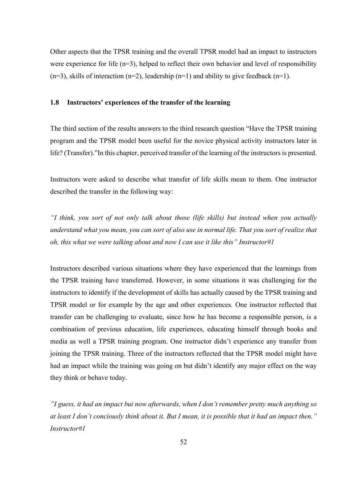Other aspects that the TPSR training and the overall TPSR model had an impact to instructors were experience for life (n=3), helped to reflect their own behavior and level of responsibility  $(n=3)$ , skills of interaction  $(n=2)$ , leadership  $(n=1)$  and ability to give feedback  $(n=1)$ .

## **1.8 Instructors' experiences of the transfer of the learning**

The third section of the results answers to the third research question "Have the TPSR training program and the TPSR model been useful for the novice physical activity instructors later in life? (Transfer)."In this chapter, perceived transfer of the learning of the instructors is presented.

Instructors were asked to describe what transfer of life skills mean to them. One instructor described the transfer in the following way:

*"I think, you sort of not only talk about those (life skills) but instead when you actually understand what you mean, you can sort of also use in normal life. That you sort of realize that oh, this what we were talking about and now I can use it like this" Instructor#1*

Instructors described various situations where they have experienced that the learnings from the TPSR training have transferred. However, in some situations it was challenging for the instructors to identify if the development of skills has actually caused by the TPSR training and TPSR model or for example by the age and other experiences. One instructor reflected that transfer can be challenging to evaluate, since how he has become a responsible person, is a combination of previous education, life experiences, educating himself through books and media as well a TPSR training program. One instructor didn't experience any transfer from joining the TPSR training. Three of the instructors reflected that the TPSR model might have had an impact while the training was going on but didn't identify any major effect on the way they think or behave today.

*"I guess, it had an impact but now afterwards, when I don't remember pretty much anything so at least I don't conciously think about it. But I mean, it is possible that it had an impact then." Instructor#1*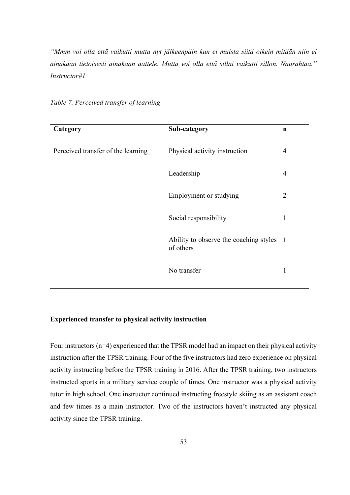*"Mmm voi olla että vaikutti mutta nyt jälkeenpäin kun ei muista siitä oikein mitään niin ei ainakaan tietoisesti ainakaan aattele. Mutta voi olla että sillai vaikutti sillon. Naurahtaa." Instructor#1*

| Category                           | Sub-category                                          | $\mathbf n$    |
|------------------------------------|-------------------------------------------------------|----------------|
| Perceived transfer of the learning | Physical activity instruction                         | 4              |
|                                    | Leadership                                            | $\overline{4}$ |
|                                    | Employment or studying                                | $\overline{2}$ |
|                                    | Social responsibility                                 | 1              |
|                                    | Ability to observe the coaching styles 1<br>of others |                |
|                                    | No transfer                                           | 1              |

*Table 7. Perceived transfer of learning* 

## **Experienced transfer to physical activity instruction**

Four instructors (n=4) experienced that the TPSR model had an impact on their physical activity instruction after the TPSR training. Four of the five instructors had zero experience on physical activity instructing before the TPSR training in 2016. After the TPSR training, two instructors instructed sports in a military service couple of times. One instructor was a physical activity tutor in high school. One instructor continued instructing freestyle skiing as an assistant coach and few times as a main instructor. Two of the instructors haven't instructed any physical activity since the TPSR training.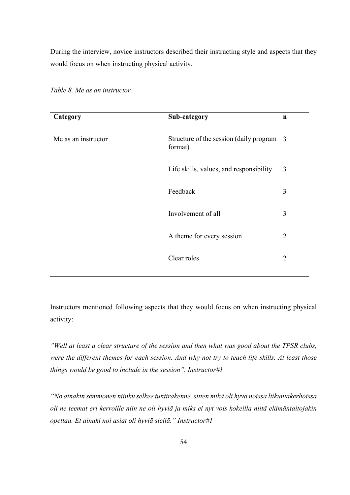During the interview, novice instructors described their instructing style and aspects that they would focus on when instructing physical activity.

| Category            | Sub-category                                         | n              |
|---------------------|------------------------------------------------------|----------------|
| Me as an instructor | Structure of the session (daily program 3<br>format) |                |
|                     | Life skills, values, and responsibility              | 3              |
|                     | Feedback                                             | 3              |
|                     | Involvement of all                                   | 3              |
|                     | A theme for every session                            | $\overline{2}$ |
|                     | Clear roles                                          | $\overline{2}$ |
|                     |                                                      |                |

*Table 8. Me as an instructor* 

Instructors mentioned following aspects that they would focus on when instructing physical activity:

*"Well at least a clear structure of the session and then what was good about the TPSR clubs, were the different themes for each session. And why not try to teach life skills. At least those things would be good to include in the session". Instructor#1*

*"No ainakin semmonen niinku selkee tuntirakenne, sitten mikä oli hyvä noissa liikuntakerhoissa oli ne teemat eri kerroille niin ne oli hyviä ja miks ei nyt vois kokeilla niitä elämäntaitojakin opettaa. Et ainaki noi asiat oli hyviä siellä." Instructor#1*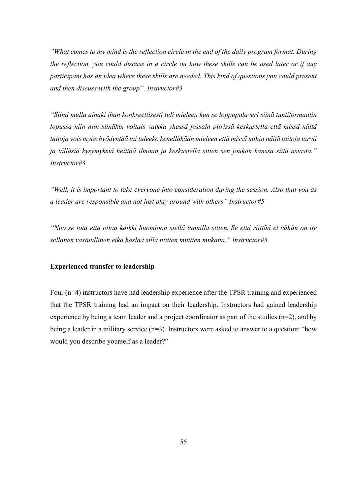*"What comes to my mind is the reflection circle in the end of the daily program format. During the reflection, you could discuss in a circle on how these skills can be used later or if any participant has an idea where these skills are needed. This kind of questions you could present and then discuss with the group". Instructor#3*

*"Siinä mulla ainaki ihan konkreettisesti tuli mieleen kun se loppupalaveri siinä tuntiformaatin lopussa niin niin siinäkin voitais vaikka yhessä jossain piirissä keskustella että missä näitä taitoja vois myös hyödyntää tai tuleeko kenelläkään mieleen että missä mihin näitä taitoja tarvii ja tälläsiä kysymyksiä heittää ilmaan ja keskustella sitten sen joukon kanssa siitä asiasta." Instructor#3*

*"Well, it is important to take everyone into consideration during the session. Also that you as a leader are responsible and not just play around with others" Instructor#5*

*"Noo se tota että ottaa kaikki huomioon siellä tunnilla sitten. Se että riittää et vähän on ite sellanen vastuullinen eikä häslää sillä niitten muitten mukana." Instructor#5*

# **Experienced transfer to leadership**

Four (n=4) instructors have had leadership experience after the TPSR training and experienced that the TPSR training had an impact on their leadership. Instructors had gained leadership experience by being a team leader and a project coordinator as part of the studies  $(n=2)$ , and by being a leader in a military service  $(n=3)$ . Instructors were asked to answer to a question: "how would you describe yourself as a leader?"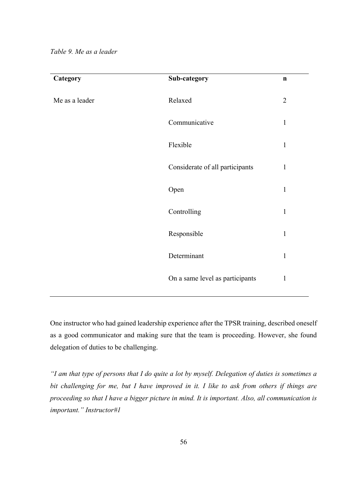| Category       | Sub-category                    | $\mathbf n$    |
|----------------|---------------------------------|----------------|
| Me as a leader | Relaxed                         | $\overline{2}$ |
|                | Communicative                   | $\mathbf{1}$   |
|                | Flexible                        | $\mathbf{1}$   |
|                | Considerate of all participants | $\mathbf{1}$   |
|                | Open                            | $\mathbf{1}$   |
|                | Controlling                     | $\mathbf{1}$   |
|                | Responsible                     | $\mathbf{1}$   |
|                | Determinant                     | $\mathbf{1}$   |
|                | On a same level as participants | $\mathbf{1}$   |

One instructor who had gained leadership experience after the TPSR training, described oneself as a good communicator and making sure that the team is proceeding. However, she found delegation of duties to be challenging.

*"I am that type of persons that I do quite a lot by myself. Delegation of duties is sometimes a bit challenging for me, but I have improved in it. I like to ask from others if things are proceeding so that I have a bigger picture in mind. It is important. Also, all communication is important." Instructor#1*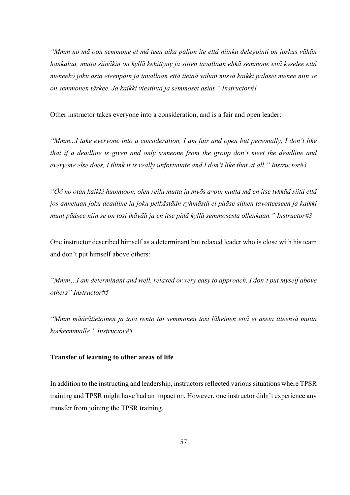*"Mmm no mä oon semmone et mä teen aika paljon ite että niinku delegointi on joskus vähän hankalaa, mutta siinäkin on kyllä kehittyny ja sitten tavallaan ehkä semmone että kyselee että meneekö joku asia eteenpäin ja tavallaan että tietää vähän missä kaikki palaset menee niin se on semmonen tärkee. Ja kaikki viestintä ja semmoset asiat." Instructor#1*

Other instructor takes everyone into a consideration, and is a fair and open leader:

*"Mmm...I take everyone into a consideration, I am fair and open but personally, I don't like that if a deadline is given and only someone from the group don't meet the deadline and everyone else does, I think it is really unfortunate and I don't like that at all." Instructor#3*

*"Öö no otan kaikki huomioon, olen reilu mutta ja myös avoin mutta mä en itse tykkää siitä että jos annetaan joku deadline ja joku pelkästään ryhmästä ei pääse siihen tavotteeseen ja kaikki muut pääsee niin se on tosi ikävää ja en itse pidä kyllä semmosesta ollenkaan." Instructor#3*

One instructor described himself as a determinant but relaxed leader who is close with his team and don't put himself above others:

*"Mmm…I am determinant and well, relaxed or very easy to approach. I don't put myself above others" Instructor#5*

*"Mmm määrätietoinen ja tota rento tai semmonen tosi läheinen että ei aseta itteensä muita korkeemmalle." Instructor#5*

# **Transfer of learning to other areas of life**

In addition to the instructing and leadership, instructors reflected various situations where TPSR training and TPSR might have had an impact on. However, one instructor didn't experience any transfer from joining the TPSR training.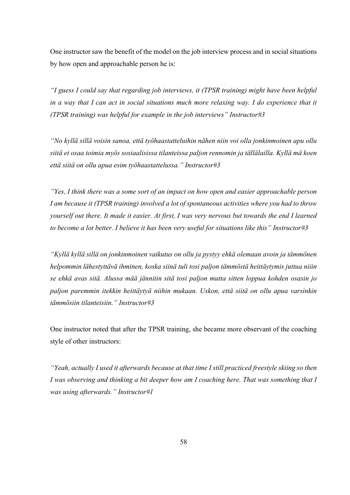One instructor saw the benefit of the model on the job interview process and in social situations by how open and approachable person he is:

*"I guess I could say that regarding job interviews, it (TPSR training) might have been helpful in a way that I can act in social situations much more relaxing way. I do experience that it (TPSR training) was helpful for example in the job interviews" Instructor#3*

*"No kyllä sillä voisin sanoa, että työhaastatteluihin nähen niin voi olla jonkinmoinen apu ollu siitä et osaa toimia myös sosiaalisissa tilanteissa paljon rennomin ja tällälailla. Kyllä mä koen että siitä on ollu apua esim työhaastattelussa." Instructor#3*

*"Yes, I think there was a some sort of an impact on how open and easier approachable person I am because it (TPSR training) involved a lot of spontaneous activities where you had to throw yourself out there. It made it easier. At first, I was very nervous but towards the end I learned to become a lot better. I believe it has been very useful for situations like this" Instructor#3*

*"Kyllä kyllä sillä on jonkinmoinen vaikutus on ollu ja pystyy ehkä olemaan avoin ja tämmönen helpommin lähestyttävä ihminen, koska siinä tuli tosi paljon tämmöstä heittäytymis juttua niiin se ehkä avas sitä. Alussa mää jännitin sitä tosi paljon mutta sitten loppua kohden osasin jo paljon paremmin itekkin heittäytyä niihin mukaan. Uskon, että siitä on ollu apua varsinkin tämmösiin tilanteisiin." Instructor#3*

One instructor noted that after the TPSR training, she became more observant of the coaching style of other instructors:

*"Yeah, actually I used it afterwards because at that time I still practiced freestyle skiing so then I was observing and thinking a bit deeper how am I coaching here. That was something that I was using afterwards." Instructor#1*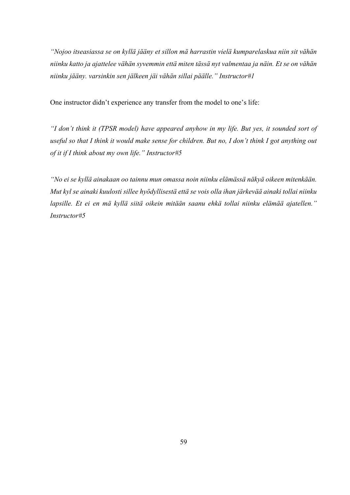*"Nojoo itseasiassa se on kyllä jääny et sillon mä harrastin vielä kumparelaskua niin sit vähän niinku katto ja ajattelee vähän syvemmin että miten tässä nyt valmentaa ja näin. Et se on vähän niinku jääny. varsinkin sen jälkeen jäi vähän sillai päälle." Instructor#1*

One instructor didn't experience any transfer from the model to one's life:

*"I don't think it (TPSR model) have appeared anyhow in my life. But yes, it sounded sort of useful so that I think it would make sense for children. But no, I don't think I got anything out of it if I think about my own life." Instructor#5*

*"No ei se kyllä ainakaan oo tainnu mun omassa noin niinku elämässä näkyä oikeen mitenkään. Mut kyl se ainaki kuulosti sillee hyödyllisestä että se vois olla ihan järkevää ainaki tollai niinku lapsille. Et ei en mä kyllä siitä oikein mitään saanu ehkä tollai niinku elämää ajatellen." Instructor#5*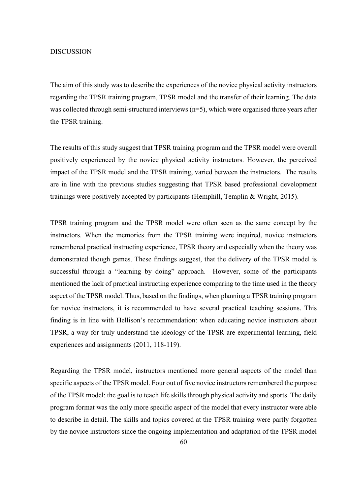#### DISCUSSION

The aim of this study was to describe the experiences of the novice physical activity instructors regarding the TPSR training program, TPSR model and the transfer of their learning. The data was collected through semi-structured interviews (n=5), which were organised three years after the TPSR training.

The results of this study suggest that TPSR training program and the TPSR model were overall positively experienced by the novice physical activity instructors. However, the perceived impact of the TPSR model and the TPSR training, varied between the instructors. The results are in line with the previous studies suggesting that TPSR based professional development trainings were positively accepted by participants (Hemphill, Templin & Wright, 2015).

TPSR training program and the TPSR model were often seen as the same concept by the instructors. When the memories from the TPSR training were inquired, novice instructors remembered practical instructing experience, TPSR theory and especially when the theory was demonstrated though games. These findings suggest, that the delivery of the TPSR model is successful through a "learning by doing" approach. However, some of the participants mentioned the lack of practical instructing experience comparing to the time used in the theory aspect of the TPSR model. Thus, based on the findings, when planning a TPSR training program for novice instructors, it is recommended to have several practical teaching sessions. This finding is in line with Hellison's recommendation: when educating novice instructors about TPSR, a way for truly understand the ideology of the TPSR are experimental learning, field experiences and assignments (2011, 118-119).

Regarding the TPSR model, instructors mentioned more general aspects of the model than specific aspects of the TPSR model. Four out of five novice instructors remembered the purpose of the TPSR model: the goal is to teach life skills through physical activity and sports. The daily program format was the only more specific aspect of the model that every instructor were able to describe in detail. The skills and topics covered at the TPSR training were partly forgotten by the novice instructors since the ongoing implementation and adaptation of the TPSR model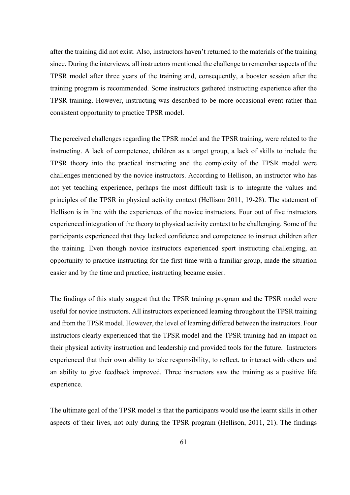after the training did not exist. Also, instructors haven't returned to the materials of the training since. During the interviews, all instructors mentioned the challenge to remember aspects of the TPSR model after three years of the training and, consequently, a booster session after the training program is recommended. Some instructors gathered instructing experience after the TPSR training. However, instructing was described to be more occasional event rather than consistent opportunity to practice TPSR model.

The perceived challenges regarding the TPSR model and the TPSR training, were related to the instructing. A lack of competence, children as a target group, a lack of skills to include the TPSR theory into the practical instructing and the complexity of the TPSR model were challenges mentioned by the novice instructors. According to Hellison, an instructor who has not yet teaching experience, perhaps the most difficult task is to integrate the values and principles of the TPSR in physical activity context (Hellison 2011, 19-28). The statement of Hellison is in line with the experiences of the novice instructors. Four out of five instructors experienced integration of the theory to physical activity context to be challenging. Some of the participants experienced that they lacked confidence and competence to instruct children after the training. Even though novice instructors experienced sport instructing challenging, an opportunity to practice instructing for the first time with a familiar group, made the situation easier and by the time and practice, instructing became easier.

The findings of this study suggest that the TPSR training program and the TPSR model were useful for novice instructors. All instructors experienced learning throughout the TPSR training and from the TPSR model. However, the level of learning differed between the instructors. Four instructors clearly experienced that the TPSR model and the TPSR training had an impact on their physical activity instruction and leadership and provided tools for the future. Instructors experienced that their own ability to take responsibility, to reflect, to interact with others and an ability to give feedback improved. Three instructors saw the training as a positive life experience.

The ultimate goal of the TPSR model is that the participants would use the learnt skills in other aspects of their lives, not only during the TPSR program (Hellison, 2011, 21). The findings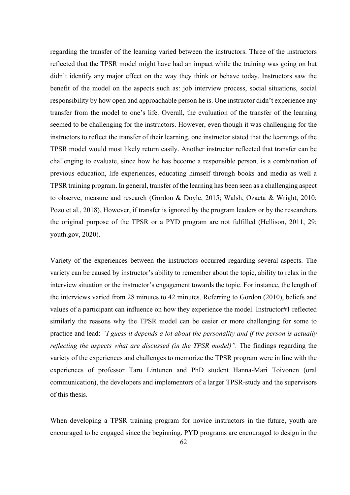regarding the transfer of the learning varied between the instructors. Three of the instructors reflected that the TPSR model might have had an impact while the training was going on but didn't identify any major effect on the way they think or behave today. Instructors saw the benefit of the model on the aspects such as: job interview process, social situations, social responsibility by how open and approachable person he is. One instructor didn't experience any transfer from the model to one's life. Overall, the evaluation of the transfer of the learning seemed to be challenging for the instructors. However, even though it was challenging for the instructors to reflect the transfer of their learning, one instructor stated that the learnings of the TPSR model would most likely return easily. Another instructor reflected that transfer can be challenging to evaluate, since how he has become a responsible person, is a combination of previous education, life experiences, educating himself through books and media as well a TPSR training program. In general, transfer of the learning has been seen as a challenging aspect to observe, measure and research (Gordon & Doyle, 2015; Walsh, Ozaeta & Wright, 2010; Pozo et al., 2018). However, if transfer is ignored by the program leaders or by the researchers the original purpose of the TPSR or a PYD program are not fulfilled (Hellison, 2011, 29; youth.gov, 2020).

Variety of the experiences between the instructors occurred regarding several aspects. The variety can be caused by instructor's ability to remember about the topic, ability to relax in the interview situation or the instructor's engagement towards the topic. For instance, the length of the interviews varied from 28 minutes to 42 minutes. Referring to Gordon (2010), beliefs and values of a participant can influence on how they experience the model. Instructor#1 reflected similarly the reasons why the TPSR model can be easier or more challenging for some to practice and lead: *"I guess it depends a lot about the personality and if the person is actually reflecting the aspects what are discussed (in the TPSR model)".* The findings regarding the variety of the experiences and challenges to memorize the TPSR program were in line with the experiences of professor Taru Lintunen and PhD student Hanna-Mari Toivonen (oral communication), the developers and implementors of a larger TPSR-study and the supervisors of this thesis.

When developing a TPSR training program for novice instructors in the future, youth are encouraged to be engaged since the beginning. PYD programs are encouraged to design in the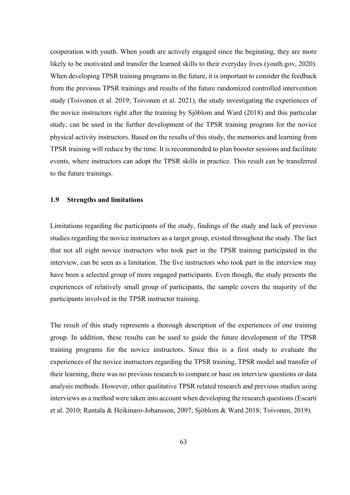cooperation with youth. When youth are actively engaged since the beginning, they are more likely to be motivated and transfer the learned skills to their everyday lives (youth.gov, 2020). When developing TPSR training programs in the future, it is important to consider the feedback from the previous TPSR trainings and results of the future randomized controlled intervention study (Toivonen et al. 2019; Toivonen et al. 2021), the study investigating the experiences of the novice instructors right after the training by Sjöblom and Ward (2018) and this particular study, can be used in the further development of the TPSR training program for the novice physical activity instructors. Based on the results of this study, the memories and learning from TPSR training will reduce by the time. It is recommended to plan booster sessions and facilitate events, where instructors can adopt the TPSR skills in practice. This result can be transferred to the future trainings.

## **1.9 Strengths and limitations**

Limitations regarding the participants of the study, findings of the study and lack of previous studies regarding the novice instructors as a target group, existed throughout the study. The fact that not all eight novice instructors who took part in the TPSR training participated in the interview, can be seen as a limitation. The five instructors who took part in the interview may have been a selected group of more engaged participants. Even though, the study presents the experiences of relatively small group of participants, the sample covers the majority of the participants involved in the TPSR instructor training.

The result of this study represents a thorough description of the experiences of one training group. In addition, these results can be used to guide the future development of the TPSR training programs for the novice instructors. Since this is a first study to evaluate the experiences of the novice instructors regarding the TPSR training, TPSR model and transfer of their learning, there was no previous research to compare or base on interview questions or data analysis methods. However, other qualitative TPSR related research and previous studies using interviews as a method were taken into account when developing the research questions (Escarti et al. 2010; Rantala & Heikinaro-Johansson, 2007; Sjöblom & Ward 2018; Toivonen, 2019).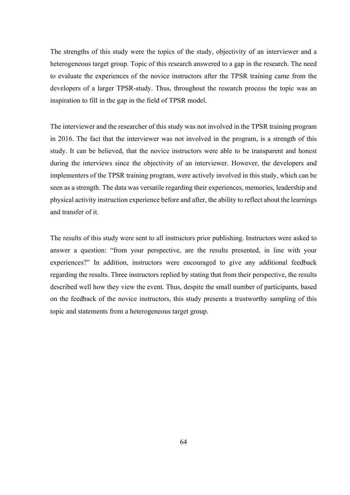The strengths of this study were the topics of the study, objectivity of an interviewer and a heterogeneous target group. Topic of this research answered to a gap in the research. The need to evaluate the experiences of the novice instructors after the TPSR training came from the developers of a larger TPSR-study. Thus, throughout the research process the topic was an inspiration to fill in the gap in the field of TPSR model.

The interviewer and the researcher of this study was not involved in the TPSR training program in 2016. The fact that the interviewer was not involved in the program, is a strength of this study. It can be believed, that the novice instructors were able to be transparent and honest during the interviews since the objectivity of an interviewer. However, the developers and implementers of the TPSR training program, were actively involved in this study, which can be seen as a strength. The data was versatile regarding their experiences, memories, leadership and physical activity instruction experience before and after, the ability to reflect about the learnings and transfer of it.

The results of this study were sent to all instructors prior publishing. Instructors were asked to answer a question: "from your perspective, are the results presented, in line with your experiences?" In addition, instructors were encouraged to give any additional feedback regarding the results. Three instructors replied by stating that from their perspective, the results described well how they view the event. Thus, despite the small number of participants, based on the feedback of the novice instructors, this study presents a trustworthy sampling of this topic and statements from a heterogeneous target group.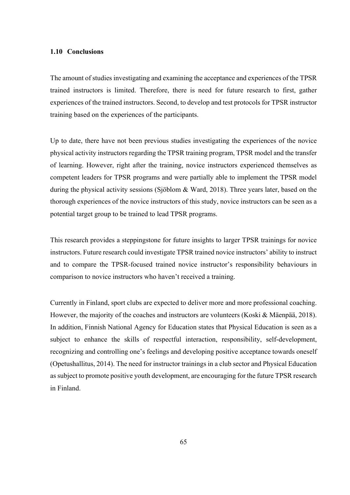## **1.10 Conclusions**

The amount of studies investigating and examining the acceptance and experiences of the TPSR trained instructors is limited. Therefore, there is need for future research to first, gather experiences of the trained instructors. Second, to develop and test protocols for TPSR instructor training based on the experiences of the participants.

Up to date, there have not been previous studies investigating the experiences of the novice physical activity instructors regarding the TPSR training program, TPSR model and the transfer of learning. However, right after the training, novice instructors experienced themselves as competent leaders for TPSR programs and were partially able to implement the TPSR model during the physical activity sessions (Sjöblom & Ward, 2018). Three years later, based on the thorough experiences of the novice instructors of this study, novice instructors can be seen as a potential target group to be trained to lead TPSR programs.

This research provides a steppingstone for future insights to larger TPSR trainings for novice instructors. Future research could investigate TPSR trained novice instructors' ability to instruct and to compare the TPSR-focused trained novice instructor's responsibility behaviours in comparison to novice instructors who haven't received a training.

Currently in Finland, sport clubs are expected to deliver more and more professional coaching. However, the majority of the coaches and instructors are volunteers (Koski & Mäenpää, 2018). In addition, Finnish National Agency for Education states that Physical Education is seen as a subject to enhance the skills of respectful interaction, responsibility, self-development, recognizing and controlling one's feelings and developing positive acceptance towards oneself (Opetushallitus, 2014). The need for instructor trainings in a club sector and Physical Education as subject to promote positive youth development, are encouraging for the future TPSR research in Finland.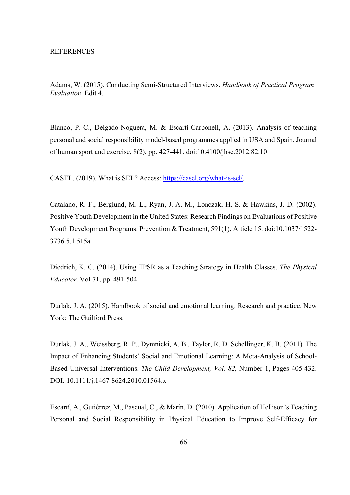Adams, W. (2015). Conducting Semi-Structured Interviews. *Handbook of Practical Program Evaluation*. Edit 4.

Blanco, P. C., Delgado-Noguera, M. & Escartí-Carbonell, A. (2013). Analysis of teaching personal and social responsibility model-based programmes applied in USA and Spain. Journal of human sport and exercise, 8(2), pp. 427-441. doi:10.4100/jhse.2012.82.10

CASEL. (2019). What is SEL? Access: https://casel.org/what-is-sel/.

Catalano, R. F., Berglund, M. L., Ryan, J. A. M., Lonczak, H. S. & Hawkins, J. D. (2002). Positive Youth Development in the United States: Research Findings on Evaluations of Positive Youth Development Programs. Prevention & Treatment, 591(1), Article 15. doi:10.1037/1522- 3736.5.1.515a

Diedrich, K. C. (2014). Using TPSR as a Teaching Strategy in Health Classes. *The Physical Educator.* Vol 71, pp. 491-504.

Durlak, J. A. (2015). Handbook of social and emotional learning: Research and practice. New York: The Guilford Press.

Durlak, J. A., Weissberg, R. P., Dymnicki, A. B., Taylor, R. D. Schellinger, K. B. (2011). The Impact of Enhancing Students' Social and Emotional Learning: A Meta-Analysis of School-Based Universal Interventions. *The Child Development, Vol. 82,* Number 1, Pages 405-432. DOI: 10.1111/j.1467-8624.2010.01564.x

Escartí, A., Gutiérrez, M., Pascual, C., & Marín, D. (2010). Application of Hellison's Teaching Personal and Social Responsibility in Physical Education to Improve Self-Efficacy for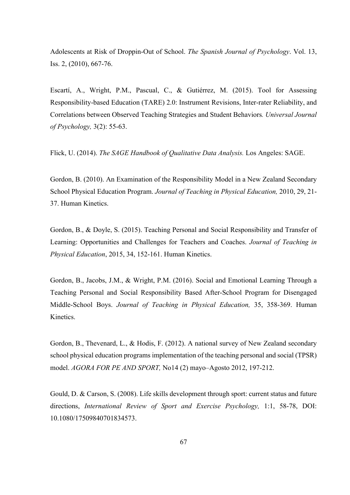Adolescents at Risk of Droppin-Out of School. *The Spanish Journal of Psychology*. Vol. 13, Iss. 2, (2010), 667-76.

Escartí, A., Wright, P.M., Pascual, C., & Gutiérrez, M. (2015). Tool for Assessing Responsibility-based Education (TARE) 2.0: Instrument Revisions, Inter-rater Reliability, and Correlations between Observed Teaching Strategies and Student Behaviors*. Universal Journal of Psychology,* 3(2): 55-63.

Flick, U. (2014). *The SAGE Handbook of Qualitative Data Analysis.* Los Angeles: SAGE.

Gordon, B. (2010). An Examination of the Responsibility Model in a New Zealand Secondary School Physical Education Program. *Journal of Teaching in Physical Education,* 2010, 29, 21- 37. Human Kinetics.

Gordon, B., & Doyle, S. (2015). Teaching Personal and Social Responsibility and Transfer of Learning: Opportunities and Challenges for Teachers and Coaches. *Journal of Teaching in Physical Education*, 2015, 34, 152-161. Human Kinetics.

Gordon, B., Jacobs, J.M., & Wright, P.M. (2016). Social and Emotional Learning Through a Teaching Personal and Social Responsibility Based After-School Program for Disengaged Middle-School Boys. *Journal of Teaching in Physical Education,* 35, 358-369. Human Kinetics.

Gordon, B., Thevenard, L., & Hodis, F. (2012). A national survey of New Zealand secondary school physical education programs implementation of the teaching personal and social (TPSR) model. *AGORA FOR PE AND SPORT,* No14 (2) mayo–Agosto 2012, 197-212.

Gould, D. & Carson, S. (2008). Life skills development through sport: current status and future directions, *International Review of Sport and Exercise Psychology,* 1:1, 58-78, DOI: 10.1080/17509840701834573.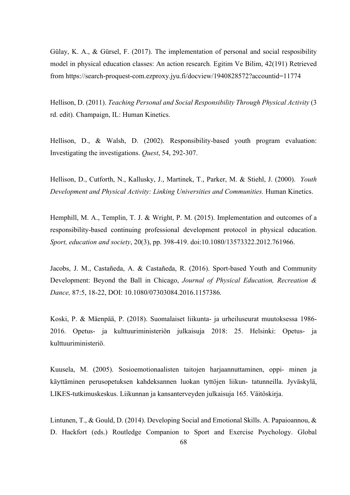Gülay, K. A., & Gürsel, F. (2017). The implementation of personal and social resposibility model in physical education classes: An action research*.* Egitim Ve Bilim, 42(191) Retrieved from https://search-proquest-com.ezproxy.jyu.fi/docview/1940828572?accountid=11774

Hellison, D. (2011). *Teaching Personal and Social Responsibility Through Physical Activity* (3 rd. edit). Champaign, IL: Human Kinetics.

Hellison, D., & Walsh, D. (2002). Responsibility-based youth program evaluation: Investigating the investigations. *Quest*, 54, 292-307.

Hellison, D., Cutforth, N., Kallusky, J., Martinek, T., Parker, M. & Stiehl, J. (2000). *Youth Development and Physical Activity: Linking Universities and Communities.* Human Kinetics.

Hemphill, M. A., Templin, T. J. & Wright, P. M. (2015). Implementation and outcomes of a responsibility-based continuing professional development protocol in physical education. *Sport, education and society*, 20(3), pp. 398-419. doi:10.1080/13573322.2012.761966.

Jacobs, J. M., Castañeda, A. & Castañeda, R. (2016). Sport-based Youth and Community Development: Beyond the Ball in Chicago, *Journal of Physical Education, Recreation & Dance,* 87:5, 18-22, DOI: 10.1080/07303084.2016.1157386.

Koski, P. & Mäenpää, P. (2018). Suomalaiset liikunta- ja urheiluseurat muutoksessa 1986- 2016. Opetus- ja kulttuuriministeriön julkaisuja 2018: 25. Helsinki: Opetus- ja kulttuuriministeriö.

Kuusela, M. (2005). Sosioemotionaalisten taitojen harjaannuttaminen, oppi- minen ja käyttäminen perusopetuksen kahdeksannen luokan tyttöjen liikun- tatunneilla. Jyväskylä, LIKES-tutkimuskeskus. Liikunnan ja kansanterveyden julkaisuja 165. Väitöskirja.

Lintunen, T., & Gould, D. (2014). Developing Social and Emotional Skills. A. Papaioannou, & D. Hackfort (eds.) Routledge Companion to Sport and Exercise Psychology. Global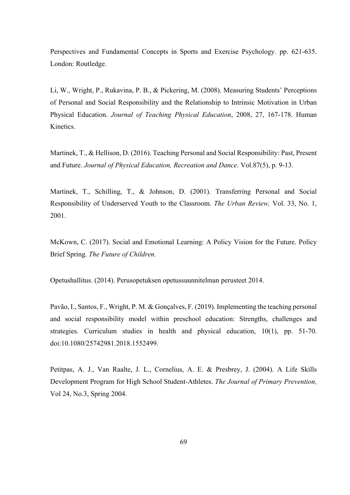Perspectives and Fundamental Concepts in Sports and Exercise Psychology. pp. 621-635. London: Routledge.

Li, W., Wright, P., Rukavina, P. B., & Pickering, M. (2008). Measuring Students' Perceptions of Personal and Social Responsibility and the Relationship to Intrinsic Motivation in Urban Physical Education. *Journal of Teaching Physical Education*, 2008, 27, 167-178. Human Kinetics.

Martinek, T., & Hellison, D. (2016). Teaching Personal and Social Responsibility: Past, Present and Future. *Journal of Physical Education, Recreation and Dance*. Vol.87(5), p. 9-13.

Martinek, T., Schilling, T., & Johnson, D. (2001). Transferring Personal and Social Responsibility of Underserved Youth to the Classroom. *The Urban Review,* Vol. 33, No. 1, 2001.

McKown, C. (2017). Social and Emotional Learning: A Policy Vision for the Future. Policy Brief Spring. *The Future of Children.*

Opetushallitus. (2014). Perusopetuksen opetussuunnitelman perusteet 2014.

Pavão, I., Santos, F., Wright, P. M. & Gonçalves, F. (2019). Implementing the teaching personal and social responsibility model within preschool education: Strengths, challenges and strategies. Curriculum studies in health and physical education, 10(1), pp. 51-70. doi:10.1080/25742981.2018.1552499.

Petitpas, A. J., Van Raalte, J. L., Cornelius, A. E. & Presbrey, J. (2004). A Life Skills Development Program for High School Student-Athletes. *The Journal of Primary Prevention,* Vol 24, No.3, Spring 2004.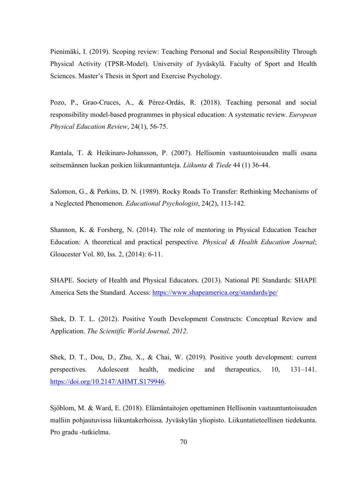Pienimäki, I. (2019). Scoping review: Teaching Personal and Social Responsibility Through Physical Activity (TPSR-Model). University of Jyväskylä. Faculty of Sport and Health Sciences. Master's Thesis in Sport and Exercise Psychology.

Pozo, P., Grao-Cruces, A., & Pérez-Ordás, R. (2018). Teaching personal and social responsibility model-based programmes in physical education: A systematic review. *European Physical Education Review*, 24(1), 56-75.

Rantala, T. & Heikinaro-Johansson, P. (2007). Hellisonin vastuuntoisuuden malli osana seitsemännen luokan poikien liikunnantunteja. *Liikunta & Tiede* 44 (1) 36-44.

Salomon, G., & Perkins, D. N. (1989). Rocky Roads To Transfer: Rethinking Mechanisms of a Neglected Phenomenon. *Educational Psychologist*, 24(2), 113-142.

Shannon, K. & Forsberg, N. (2014). The role of mentoring in Physical Education Teacher Education: A theoretical and practical perspective*. Physical & Health Education Journal*; Gloucester Vol. 80, Iss. 2, (2014): 6-11.

SHAPE. Society of Health and Physical Educators. (2013). National PE Standards: SHAPE America Sets the Standard. Access: https://www.shapeamerica.org/standards/pe/

Shek, D. T. L. (2012). Positive Youth Development Constructs: Conceptual Review and Application. *The Scientific World Journal, 2012*.

Shek, D. T., Dou, D., Zhu, X., & Chai, W. (2019). Positive youth development: current perspectives. Adolescent health, medicine and therapeutics, 10, 131–141. https://doi.org/10.2147/AHMT.S179946.

Sjöblom, M. & Ward, E. (2018). Elämäntaitojen opettaminen Hellisonin vastuuntuntoisuuden malliin pohjautuvissa liikuntakerhoissa. Jyväskylän yliopisto. Liikuntatieteellinen tiedekunta. Pro gradu -tutkielma.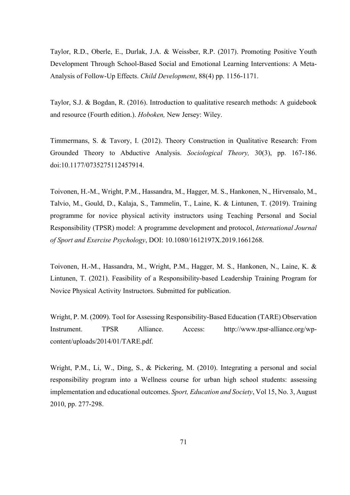Taylor, R.D., Oberle, E., Durlak, J.A. & Weissber, R.P. (2017). Promoting Positive Youth Development Through School-Based Social and Emotional Learning Interventions: A Meta-Analysis of Follow-Up Effects. *Child Development*, 88(4) pp. 1156-1171.

Taylor, S.J. & Bogdan, R. (2016). Introduction to qualitative research methods: A guidebook and resource (Fourth edition.). *Hoboken,* New Jersey: Wiley.

Timmermans, S. & Tavory, I. (2012). Theory Construction in Qualitative Research: From Grounded Theory to Abductive Analysis. *Sociological Theory,* 30(3), pp. 167-186. doi:10.1177/0735275112457914.

Toivonen, H.-M., Wright, P.M., Hassandra, M., Hagger, M. S., Hankonen, N., Hirvensalo, M., Talvio, M., Gould, D., Kalaja, S., Tammelin, T., Laine, K. & Lintunen, T. (2019). Training programme for novice physical activity instructors using Teaching Personal and Social Responsibility (TPSR) model: A programme development and protocol, *International Journal of Sport and Exercise Psychology*, DOI: 10.1080/1612197X.2019.1661268.

Toivonen, H.-M., Hassandra, M., Wright, P.M., Hagger, M. S., Hankonen, N., Laine, K. & Lintunen, T. (2021). Feasibility of a Responsibility-based Leadership Training Program for Novice Physical Activity Instructors. Submitted for publication.

Wright, P. M. (2009). Tool for Assessing Responsibility-Based Education (TARE) Observation Instrument. TPSR Alliance. Access: http://www.tpsr-alliance.org/wpcontent/uploads/2014/01/TARE.pdf.

Wright, P.M., Li, W., Ding, S., & Pickering, M. (2010). Integrating a personal and social responsibility program into a Wellness course for urban high school students: assessing implementation and educational outcomes. *Sport, Education and Society*, Vol 15, No. 3, August 2010, pp. 277-298.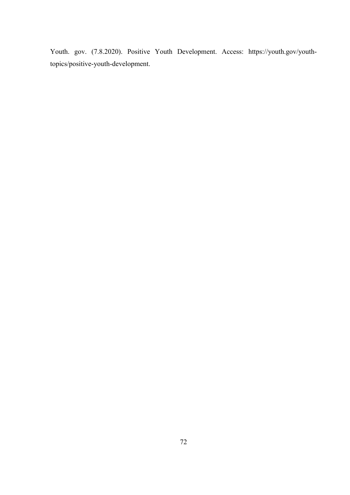Youth. gov. (7.8.2020). Positive Youth Development. Access: https://youth.gov/youthtopics/positive-youth-development.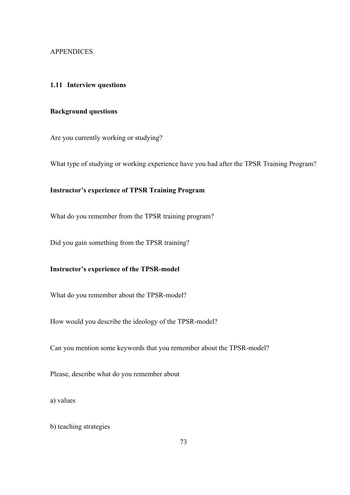#### APPENDICES

## **1.11 Interview questions**

## **Background questions**

Are you currently working or studying?

What type of studying or working experience have you had after the TPSR Training Program?

# **Instructor's experience of TPSR Training Program**

What do you remember from the TPSR training program?

Did you gain something from the TPSR training?

## **Instructor's experience of the TPSR-model**

What do you remember about the TPSR-model?

How would you describe the ideology of the TPSR-model?

Can you mention some keywords that you remember about the TPSR-model?

Please, describe what do you remember about

a) values

b) teaching strategies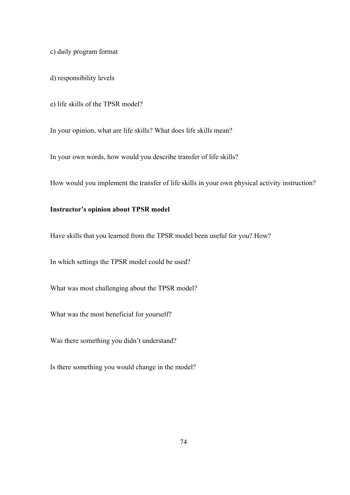c) daily program format

d) responsibility levels

e) life skills of the TPSR model?

In your opinion, what are life skills? What does life skills mean?

In your own words, how would you describe transfer of life skills?

How would you implement the transfer of life skills in your own physical activity instruction?

## **Instructor's opinion about TPSR model**

Have skills that you learned from the TPSR model been useful for you? How?

In which settings the TPSR model could be used?

What was most challenging about the TPSR model?

What was the most beneficial for yourself?

Was there something you didn't understand?

Is there something you would change in the model?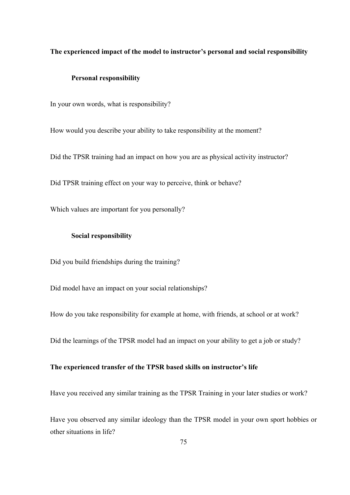## **The experienced impact of the model to instructor's personal and social responsibility**

#### **Personal responsibility**

In your own words, what is responsibility?

How would you describe your ability to take responsibility at the moment?

Did the TPSR training had an impact on how you are as physical activity instructor?

Did TPSR training effect on your way to perceive, think or behave?

Which values are important for you personally?

## **Social responsibility**

Did you build friendships during the training?

Did model have an impact on your social relationships?

How do you take responsibility for example at home, with friends, at school or at work?

Did the learnings of the TPSR model had an impact on your ability to get a job or study?

## **The experienced transfer of the TPSR based skills on instructor's life**

Have you received any similar training as the TPSR Training in your later studies or work?

Have you observed any similar ideology than the TPSR model in your own sport hobbies or other situations in life?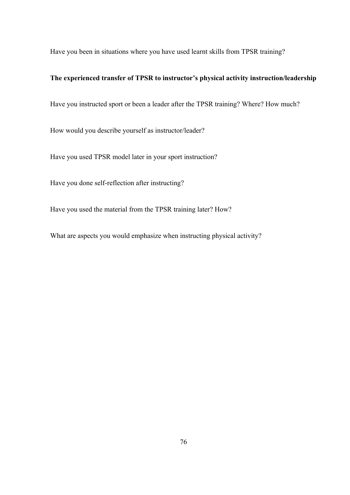Have you been in situations where you have used learnt skills from TPSR training?

## **The experienced transfer of TPSR to instructor's physical activity instruction/leadership**

Have you instructed sport or been a leader after the TPSR training? Where? How much?

How would you describe yourself as instructor/leader?

Have you used TPSR model later in your sport instruction?

Have you done self-reflection after instructing?

Have you used the material from the TPSR training later? How?

What are aspects you would emphasize when instructing physical activity?